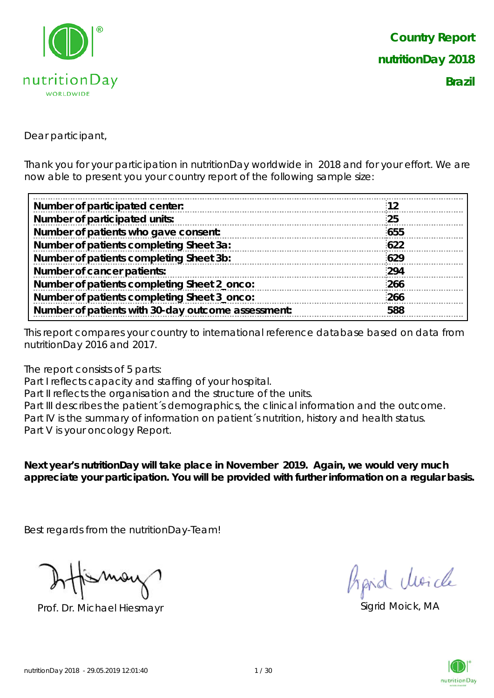

Dear participant,

Thank you for your participation in nutritionDay worldwide in 2018 and for your effort. We are now able to present you your country report of the following sample size:

| Number of participated center:                     | 12  |
|----------------------------------------------------|-----|
| Number of participated units:                      | 25  |
| Number of patients who gave consent:               | 655 |
| Number of patients completing Sheet 3a:            | 622 |
| Number of patients completing Sheet 3b:            | 629 |
| Number of cancer patients:                         | 294 |
| Number of patients completing Sheet 2_onco:        | 266 |
| Number of patients completing Sheet 3_onco:        | 266 |
| Number of patients with 30-day outcome assessment: | 588 |
|                                                    |     |

This report compares your country to international reference database based on data from nutritionDay 2016 and 2017.

The report consists of 5 parts:

Part I reflects capacity and staffing of your hospital.

Part II reflects the organisation and the structure of the units.

Part III describes the patient's demographics, the clinical information and the outcome. Part IV is the summary of information on patient's nutrition, history and health status. Part V is your oncology Report.

**Next year's nutritionDay will take place in November 2019. Again, we would very much appreciate your participation. You will be provided with further information on a regular basis.**

Best regards from the nutritionDay-Team!

Prof. Dr. Michael Hiesmayr Sigrid Moick, MA

fraid Moich

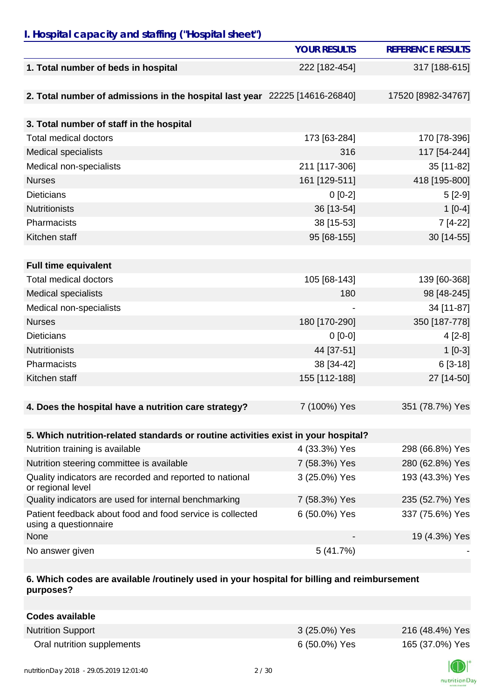## *I. Hospital capacity and staffing ("Hospital sheet")*

|                                                                                    | <b>YOUR RESULTS</b> | <b>REFERENCE RESULTS</b> |
|------------------------------------------------------------------------------------|---------------------|--------------------------|
| 1. Total number of beds in hospital                                                | 222 [182-454]       | 317 [188-615]            |
|                                                                                    |                     |                          |
| 2. Total number of admissions in the hospital last year 22225 [14616-26840]        |                     | 17520 [8982-34767]       |
|                                                                                    |                     |                          |
| 3. Total number of staff in the hospital                                           |                     |                          |
| <b>Total medical doctors</b>                                                       | 173 [63-284]        | 170 [78-396]             |
| Medical specialists                                                                | 316                 | 117 [54-244]             |
| Medical non-specialists                                                            | 211 [117-306]       | 35 [11-82]               |
| <b>Nurses</b>                                                                      | 161 [129-511]       | 418 [195-800]            |
| <b>Dieticians</b>                                                                  | $0[0-2]$            | $5[2-9]$                 |
| Nutritionists                                                                      | 36 [13-54]          | $1[0-4]$                 |
| Pharmacists                                                                        | 38 [15-53]          | 7 [4-22]                 |
| Kitchen staff                                                                      | 95 [68-155]         | 30 [14-55]               |
|                                                                                    |                     |                          |
| <b>Full time equivalent</b>                                                        |                     |                          |
| <b>Total medical doctors</b>                                                       | 105 [68-143]        | 139 [60-368]             |
| <b>Medical specialists</b>                                                         | 180                 | 98 [48-245]              |
| Medical non-specialists                                                            |                     | 34 [11-87]               |
| <b>Nurses</b>                                                                      | 180 [170-290]       | 350 [187-778]            |
| <b>Dieticians</b>                                                                  | $0[0-0]$            | $4[2-8]$                 |
| <b>Nutritionists</b>                                                               | 44 [37-51]          | $1[0-3]$                 |
| Pharmacists                                                                        | 38 [34-42]          | $6[3-18]$                |
| Kitchen staff                                                                      | 155 [112-188]       | 27 [14-50]               |
|                                                                                    |                     |                          |
| 4. Does the hospital have a nutrition care strategy?                               | 7 (100%) Yes        | 351 (78.7%) Yes          |
|                                                                                    |                     |                          |
| 5. Which nutrition-related standards or routine activities exist in your hospital? |                     |                          |
| Nutrition training is available                                                    | 4 (33.3%) Yes       | 298 (66.8%) Yes          |
| Nutrition steering committee is available                                          | 7 (58.3%) Yes       | 280 (62.8%) Yes          |
| Quality indicators are recorded and reported to national<br>or regional level      | 3 (25.0%) Yes       | 193 (43.3%) Yes          |
| Quality indicators are used for internal benchmarking                              | 7 (58.3%) Yes       | 235 (52.7%) Yes          |
| Patient feedback about food and food service is collected<br>using a questionnaire | 6 (50.0%) Yes       | 337 (75.6%) Yes          |
| None                                                                               |                     | 19 (4.3%) Yes            |
| No answer given                                                                    | 5(41.7%)            |                          |

## **6. Which codes are available /routinely used in your hospital for billing and reimbursement purposes?**

| <b>Codes available</b>     |               |                 |
|----------------------------|---------------|-----------------|
| <b>Nutrition Support</b>   | 3 (25.0%) Yes | 216 (48.4%) Yes |
| Oral nutrition supplements | 6 (50.0%) Yes | 165 (37.0%) Yes |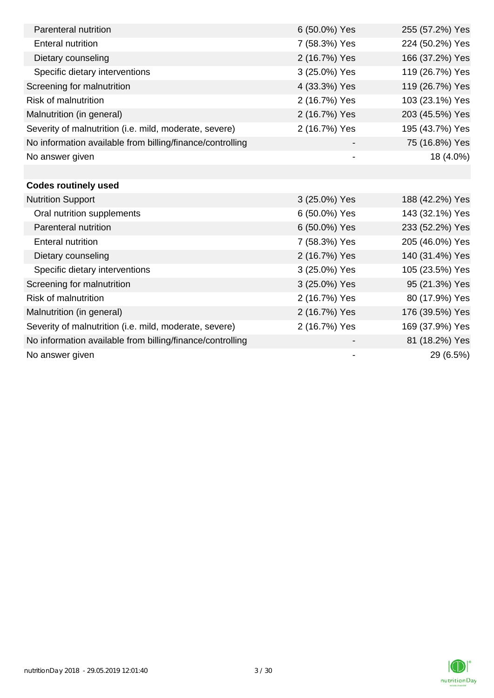| Parenteral nutrition                                      | 6 (50.0%) Yes            | 255 (57.2%) Yes |
|-----------------------------------------------------------|--------------------------|-----------------|
| <b>Enteral nutrition</b>                                  | 7 (58.3%) Yes            | 224 (50.2%) Yes |
| Dietary counseling                                        | 2 (16.7%) Yes            | 166 (37.2%) Yes |
| Specific dietary interventions                            | 3 (25.0%) Yes            | 119 (26.7%) Yes |
| Screening for malnutrition                                | 4 (33.3%) Yes            | 119 (26.7%) Yes |
| <b>Risk of malnutrition</b>                               | 2 (16.7%) Yes            | 103 (23.1%) Yes |
| Malnutrition (in general)                                 | 2 (16.7%) Yes            | 203 (45.5%) Yes |
| Severity of malnutrition (i.e. mild, moderate, severe)    | 2 (16.7%) Yes            | 195 (43.7%) Yes |
| No information available from billing/finance/controlling |                          | 75 (16.8%) Yes  |
| No answer given                                           | $\overline{\phantom{a}}$ | 18 (4.0%)       |
|                                                           |                          |                 |
| <b>Codes routinely used</b>                               |                          |                 |
| <b>Nutrition Support</b>                                  | 3 (25.0%) Yes            | 188 (42.2%) Yes |
| Oral nutrition supplements                                | 6 (50.0%) Yes            | 143 (32.1%) Yes |
| Parenteral nutrition                                      | 6 (50.0%) Yes            | 233 (52.2%) Yes |
| <b>Enteral nutrition</b>                                  | 7 (58.3%) Yes            | 205 (46.0%) Yes |
| Dietary counseling                                        | 2 (16.7%) Yes            | 140 (31.4%) Yes |
| Specific dietary interventions                            | 3 (25.0%) Yes            | 105 (23.5%) Yes |
| Screening for malnutrition                                | 3 (25.0%) Yes            | 95 (21.3%) Yes  |
| <b>Risk of malnutrition</b>                               | 2 (16.7%) Yes            | 80 (17.9%) Yes  |
| Malnutrition (in general)                                 | 2 (16.7%) Yes            | 176 (39.5%) Yes |
| Severity of malnutrition (i.e. mild, moderate, severe)    | 2 (16.7%) Yes            | 169 (37.9%) Yes |
| No information available from billing/finance/controlling |                          | 81 (18.2%) Yes  |
| No answer given                                           | $\overline{\phantom{a}}$ | 29 (6.5%)       |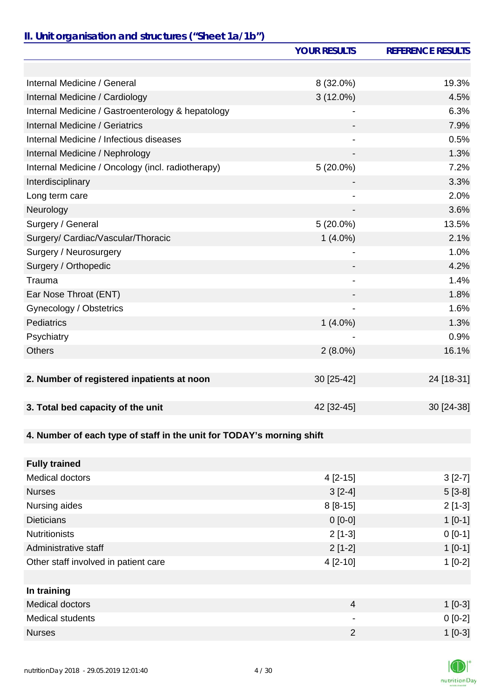# *II. Unit organisation and structures ("Sheet 1a/1b")*

|                                                                       | <b>YOUR RESULTS</b>      | <b>REFERENCE RESULTS</b> |
|-----------------------------------------------------------------------|--------------------------|--------------------------|
|                                                                       |                          |                          |
| Internal Medicine / General                                           | 8 (32.0%)                | 19.3%                    |
| Internal Medicine / Cardiology                                        | 3 (12.0%)                | 4.5%                     |
| Internal Medicine / Gastroenterology & hepatology                     |                          | 6.3%                     |
| Internal Medicine / Geriatrics                                        |                          | 7.9%                     |
| Internal Medicine / Infectious diseases                               |                          | 0.5%                     |
| Internal Medicine / Nephrology                                        | $\overline{\phantom{0}}$ | 1.3%                     |
| Internal Medicine / Oncology (incl. radiotherapy)                     | $5(20.0\%)$              | 7.2%                     |
| Interdisciplinary                                                     |                          | 3.3%                     |
| Long term care                                                        |                          | 2.0%                     |
| Neurology                                                             |                          | 3.6%                     |
| Surgery / General                                                     | $5(20.0\%)$              | 13.5%                    |
| Surgery/ Cardiac/Vascular/Thoracic                                    | $1(4.0\%)$               | 2.1%                     |
| Surgery / Neurosurgery                                                |                          | 1.0%                     |
| Surgery / Orthopedic                                                  |                          | 4.2%                     |
| Trauma                                                                |                          | 1.4%                     |
| Ear Nose Throat (ENT)                                                 |                          | 1.8%                     |
| Gynecology / Obstetrics                                               |                          | 1.6%                     |
| Pediatrics                                                            | $1(4.0\%)$               | 1.3%                     |
| Psychiatry                                                            |                          | 0.9%                     |
| <b>Others</b>                                                         | $2(8.0\%)$               | 16.1%                    |
|                                                                       |                          |                          |
| 2. Number of registered inpatients at noon                            | 30 [25-42]               | 24 [18-31]               |
|                                                                       |                          |                          |
| 3. Total bed capacity of the unit                                     | 42 [32-45]               | 30 [24-38]               |
|                                                                       |                          |                          |
| 4. Number of each type of staff in the unit for TODAY's morning shift |                          |                          |
|                                                                       |                          |                          |
| <b>Fully trained</b>                                                  |                          |                          |
| <b>Medical doctors</b>                                                | $4[2-15]$                | $3[2-7]$                 |
| <b>Nurses</b>                                                         | $3[2-4]$                 | $5[3-8]$                 |
| Nursing aides                                                         | $8[8-15]$                | $2[1-3]$                 |
| <b>Dieticians</b>                                                     | $0 [0-0]$                | $1[0-1]$                 |
| <b>Nutritionists</b>                                                  | $2[1-3]$                 | $0 [0-1]$                |
| Administrative staff                                                  | $2[1-2]$                 | $1[0-1]$                 |
| Other staff involved in patient care                                  | 4 [2-10]                 | $1[0-2]$                 |
|                                                                       |                          |                          |
| In training                                                           |                          |                          |
| <b>Medical doctors</b>                                                | $\overline{4}$           | $1[0-3]$                 |
| <b>Medical students</b>                                               |                          | $0[0-2]$                 |
| <b>Nurses</b>                                                         | $\overline{2}$           | $1[0-3]$                 |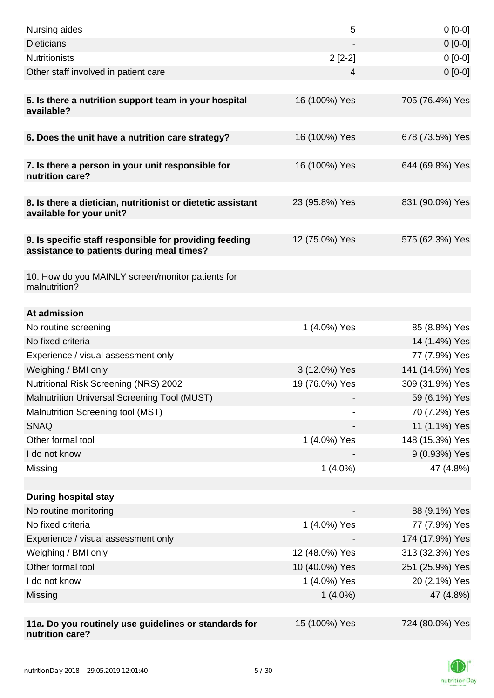| Nursing aides                                                                                       | 5              | $0[0-0]$        |
|-----------------------------------------------------------------------------------------------------|----------------|-----------------|
| <b>Dieticians</b>                                                                                   |                | $0[0-0]$        |
| <b>Nutritionists</b>                                                                                | $2[2-2]$       | $0[0-0]$        |
| Other staff involved in patient care                                                                | 4              | $0 [0-0]$       |
|                                                                                                     |                |                 |
| 5. Is there a nutrition support team in your hospital<br>available?                                 | 16 (100%) Yes  | 705 (76.4%) Yes |
| 6. Does the unit have a nutrition care strategy?                                                    | 16 (100%) Yes  | 678 (73.5%) Yes |
|                                                                                                     |                |                 |
| 7. Is there a person in your unit responsible for<br>nutrition care?                                | 16 (100%) Yes  | 644 (69.8%) Yes |
| 8. Is there a dietician, nutritionist or dietetic assistant<br>available for your unit?             | 23 (95.8%) Yes | 831 (90.0%) Yes |
| 9. Is specific staff responsible for providing feeding<br>assistance to patients during meal times? | 12 (75.0%) Yes | 575 (62.3%) Yes |
| 10. How do you MAINLY screen/monitor patients for<br>malnutrition?                                  |                |                 |
| At admission                                                                                        |                |                 |
| No routine screening                                                                                | 1 (4.0%) Yes   | 85 (8.8%) Yes   |
| No fixed criteria                                                                                   |                | 14 (1.4%) Yes   |
| Experience / visual assessment only                                                                 |                | 77 (7.9%) Yes   |
| Weighing / BMI only                                                                                 | 3 (12.0%) Yes  | 141 (14.5%) Yes |
| Nutritional Risk Screening (NRS) 2002                                                               | 19 (76.0%) Yes | 309 (31.9%) Yes |
| Malnutrition Universal Screening Tool (MUST)                                                        |                | 59 (6.1%) Yes   |
| Malnutrition Screening tool (MST)                                                                   |                | 70 (7.2%) Yes   |
| <b>SNAQ</b>                                                                                         |                | 11 (1.1%) Yes   |
| Other formal tool                                                                                   | 1 (4.0%) Yes   | 148 (15.3%) Yes |
| I do not know                                                                                       |                | 9 (0.93%) Yes   |
| Missing                                                                                             | $1(4.0\%)$     | 47 (4.8%)       |
|                                                                                                     |                |                 |
| <b>During hospital stay</b>                                                                         |                |                 |
| No routine monitoring                                                                               |                | 88 (9.1%) Yes   |
| No fixed criteria                                                                                   | 1 (4.0%) Yes   | 77 (7.9%) Yes   |
| Experience / visual assessment only                                                                 |                | 174 (17.9%) Yes |
| Weighing / BMI only                                                                                 | 12 (48.0%) Yes | 313 (32.3%) Yes |
| Other formal tool                                                                                   | 10 (40.0%) Yes | 251 (25.9%) Yes |
| I do not know                                                                                       | 1 (4.0%) Yes   | 20 (2.1%) Yes   |
| Missing                                                                                             | $1(4.0\%)$     | 47 (4.8%)       |
|                                                                                                     |                |                 |
| 11a. Do you routinely use guidelines or standards for<br>nutrition care?                            | 15 (100%) Yes  | 724 (80.0%) Yes |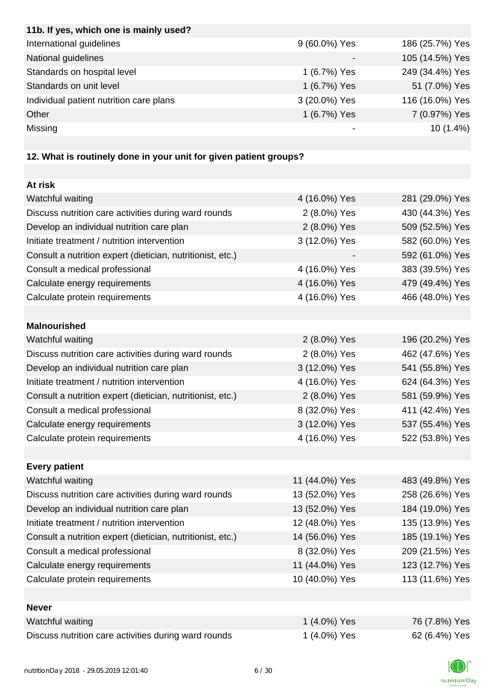| 11b. If yes, which one is mainly used?                            |                |                 |
|-------------------------------------------------------------------|----------------|-----------------|
| International guidelines                                          | 9 (60.0%) Yes  | 186 (25.7%) Yes |
| National guidelines                                               |                | 105 (14.5%) Yes |
| Standards on hospital level                                       | 1 (6.7%) Yes   | 249 (34.4%) Yes |
| Standards on unit level                                           | 1 (6.7%) Yes   | 51 (7.0%) Yes   |
| Individual patient nutrition care plans                           | 3 (20.0%) Yes  | 116 (16.0%) Yes |
| Other                                                             | 1 (6.7%) Yes   | 7 (0.97%) Yes   |
| Missing                                                           |                | 10 (1.4%)       |
|                                                                   |                |                 |
| 12. What is routinely done in your unit for given patient groups? |                |                 |
|                                                                   |                |                 |
| At risk                                                           |                |                 |
| Watchful waiting                                                  | 4 (16.0%) Yes  | 281 (29.0%) Yes |
| Discuss nutrition care activities during ward rounds              | 2 (8.0%) Yes   | 430 (44.3%) Yes |
| Develop an individual nutrition care plan                         | 2 (8.0%) Yes   | 509 (52.5%) Yes |
| Initiate treatment / nutrition intervention                       | 3 (12.0%) Yes  | 582 (60.0%) Yes |
| Consult a nutrition expert (dietician, nutritionist, etc.)        |                | 592 (61.0%) Yes |
| Consult a medical professional                                    | 4 (16.0%) Yes  | 383 (39.5%) Yes |
| Calculate energy requirements                                     | 4 (16.0%) Yes  | 479 (49.4%) Yes |
| Calculate protein requirements                                    | 4 (16.0%) Yes  | 466 (48.0%) Yes |
|                                                                   |                |                 |
| <b>Malnourished</b>                                               |                |                 |
| Watchful waiting                                                  | 2 (8.0%) Yes   | 196 (20.2%) Yes |
| Discuss nutrition care activities during ward rounds              | 2 (8.0%) Yes   | 462 (47.6%) Yes |
| Develop an individual nutrition care plan                         | 3 (12.0%) Yes  | 541 (55.8%) Yes |
| Initiate treatment / nutrition intervention                       | 4 (16.0%) Yes  | 624 (64.3%) Yes |
| Consult a nutrition expert (dietician, nutritionist, etc.)        | 2 (8.0%) Yes   | 581 (59.9%) Yes |
| Consult a medical professional                                    | 8 (32.0%) Yes  | 411 (42.4%) Yes |
| Calculate energy requirements                                     | 3 (12.0%) Yes  | 537 (55.4%) Yes |
| Calculate protein requirements                                    | 4 (16.0%) Yes  | 522 (53.8%) Yes |
|                                                                   |                |                 |
| <b>Every patient</b>                                              |                |                 |
| Watchful waiting                                                  | 11 (44.0%) Yes | 483 (49.8%) Yes |
| Discuss nutrition care activities during ward rounds              | 13 (52.0%) Yes | 258 (26.6%) Yes |
| Develop an individual nutrition care plan                         | 13 (52.0%) Yes | 184 (19.0%) Yes |
| Initiate treatment / nutrition intervention                       | 12 (48.0%) Yes | 135 (13.9%) Yes |
| Consult a nutrition expert (dietician, nutritionist, etc.)        | 14 (56.0%) Yes | 185 (19.1%) Yes |
| Consult a medical professional                                    | 8 (32.0%) Yes  | 209 (21.5%) Yes |
| Calculate energy requirements                                     | 11 (44.0%) Yes | 123 (12.7%) Yes |
| Calculate protein requirements                                    | 10 (40.0%) Yes | 113 (11.6%) Yes |
|                                                                   |                |                 |
| <b>Never</b>                                                      |                |                 |
| Watchful waiting                                                  | 1 (4.0%) Yes   | 76 (7.8%) Yes   |
| Discuss nutrition care activities during ward rounds              | 1 (4.0%) Yes   | 62 (6.4%) Yes   |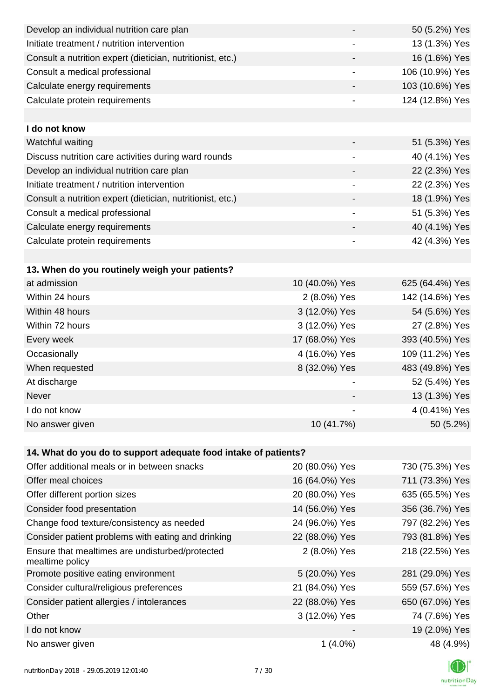| Develop an individual nutrition care plan                          | -                        | 50 (5.2%) Yes   |
|--------------------------------------------------------------------|--------------------------|-----------------|
| Initiate treatment / nutrition intervention                        |                          | 13 (1.3%) Yes   |
| Consult a nutrition expert (dietician, nutritionist, etc.)         |                          | 16 (1.6%) Yes   |
| Consult a medical professional                                     | $\overline{\phantom{a}}$ | 106 (10.9%) Yes |
| Calculate energy requirements                                      | $\overline{\phantom{a}}$ | 103 (10.6%) Yes |
| Calculate protein requirements                                     |                          | 124 (12.8%) Yes |
|                                                                    |                          |                 |
| I do not know                                                      |                          |                 |
| Watchful waiting                                                   |                          | 51 (5.3%) Yes   |
| Discuss nutrition care activities during ward rounds               | $\overline{\phantom{a}}$ | 40 (4.1%) Yes   |
| Develop an individual nutrition care plan                          |                          | 22 (2.3%) Yes   |
| Initiate treatment / nutrition intervention                        | $\overline{\phantom{a}}$ | 22 (2.3%) Yes   |
| Consult a nutrition expert (dietician, nutritionist, etc.)         | $\overline{\phantom{a}}$ | 18 (1.9%) Yes   |
| Consult a medical professional                                     | -                        | 51 (5.3%) Yes   |
| Calculate energy requirements                                      |                          | 40 (4.1%) Yes   |
| Calculate protein requirements                                     | $\overline{\phantom{a}}$ | 42 (4.3%) Yes   |
|                                                                    |                          |                 |
| 13. When do you routinely weigh your patients?                     |                          |                 |
| at admission                                                       | 10 (40.0%) Yes           | 625 (64.4%) Yes |
| Within 24 hours                                                    | 2 (8.0%) Yes             | 142 (14.6%) Yes |
| Within 48 hours                                                    | 3 (12.0%) Yes            | 54 (5.6%) Yes   |
| Within 72 hours                                                    | 3 (12.0%) Yes            | 27 (2.8%) Yes   |
| Every week                                                         | 17 (68.0%) Yes           | 393 (40.5%) Yes |
| Occasionally                                                       | 4 (16.0%) Yes            | 109 (11.2%) Yes |
| When requested                                                     | 8 (32.0%) Yes            | 483 (49.8%) Yes |
| At discharge                                                       |                          | 52 (5.4%) Yes   |
| Never                                                              |                          | 13 (1.3%) Yes   |
| I do not know                                                      |                          | 4 (0.41%) Yes   |
| No answer given                                                    | 10 (41.7%)               | 50 (5.2%)       |
|                                                                    |                          |                 |
| 14. What do you do to support adequate food intake of patients?    |                          |                 |
| Offer additional meals or in between snacks                        | 20 (80.0%) Yes           | 730 (75.3%) Yes |
| Offer meal choices                                                 | 16 (64.0%) Yes           | 711 (73.3%) Yes |
| Offer different portion sizes                                      | 20 (80.0%) Yes           | 635 (65.5%) Yes |
| Consider food presentation                                         | 14 (56.0%) Yes           | 356 (36.7%) Yes |
| Change food texture/consistency as needed                          | 24 (96.0%) Yes           | 797 (82.2%) Yes |
| Consider patient problems with eating and drinking                 | 22 (88.0%) Yes           | 793 (81.8%) Yes |
| Ensure that mealtimes are undisturbed/protected<br>mealtime policy | 2 (8.0%) Yes             | 218 (22.5%) Yes |
| Promote positive eating environment                                | 5 (20.0%) Yes            | 281 (29.0%) Yes |
| Consider cultural/religious preferences                            | 21 (84.0%) Yes           | 559 (57.6%) Yes |
| Consider patient allergies / intolerances                          | 22 (88.0%) Yes           | 650 (67.0%) Yes |
| Other                                                              | 3 (12.0%) Yes            | 74 (7.6%) Yes   |
| I do not know                                                      |                          | 19 (2.0%) Yes   |
| No answer given                                                    | $1(4.0\%)$               | 48 (4.9%)       |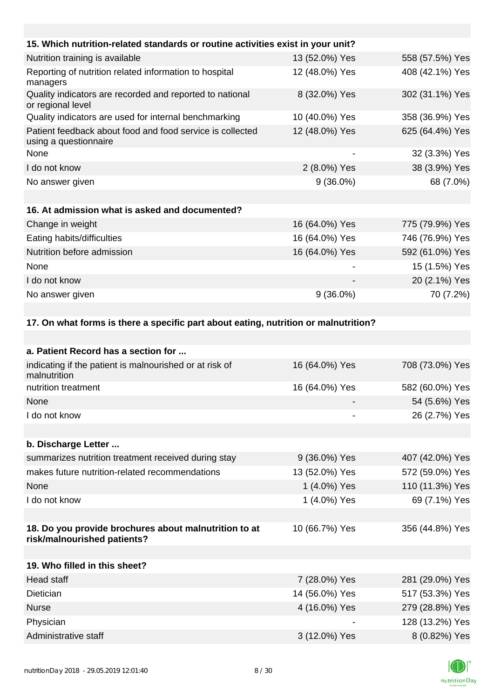| 15. Which nutrition-related standards or routine activities exist in your unit?      |                |                 |
|--------------------------------------------------------------------------------------|----------------|-----------------|
| Nutrition training is available                                                      | 13 (52.0%) Yes | 558 (57.5%) Yes |
| Reporting of nutrition related information to hospital<br>managers                   | 12 (48.0%) Yes | 408 (42.1%) Yes |
| Quality indicators are recorded and reported to national<br>or regional level        | 8 (32.0%) Yes  | 302 (31.1%) Yes |
| Quality indicators are used for internal benchmarking                                | 10 (40.0%) Yes | 358 (36.9%) Yes |
| Patient feedback about food and food service is collected<br>using a questionnaire   | 12 (48.0%) Yes | 625 (64.4%) Yes |
| None                                                                                 |                | 32 (3.3%) Yes   |
| I do not know                                                                        | 2 (8.0%) Yes   | 38 (3.9%) Yes   |
| No answer given                                                                      | $9(36.0\%)$    | 68 (7.0%)       |
|                                                                                      |                |                 |
| 16. At admission what is asked and documented?                                       |                |                 |
| Change in weight                                                                     | 16 (64.0%) Yes | 775 (79.9%) Yes |
| Eating habits/difficulties                                                           | 16 (64.0%) Yes | 746 (76.9%) Yes |
| Nutrition before admission                                                           | 16 (64.0%) Yes | 592 (61.0%) Yes |
| None                                                                                 |                | 15 (1.5%) Yes   |
| I do not know                                                                        |                | 20 (2.1%) Yes   |
| No answer given                                                                      | $9(36.0\%)$    | 70 (7.2%)       |
|                                                                                      |                |                 |
| 17. On what forms is there a specific part about eating, nutrition or malnutrition?  |                |                 |
|                                                                                      |                |                 |
| a. Patient Record has a section for                                                  |                |                 |
| indicating if the patient is malnourished or at risk of<br>malnutrition              | 16 (64.0%) Yes | 708 (73.0%) Yes |
| nutrition treatment                                                                  | 16 (64.0%) Yes | 582 (60.0%) Yes |
| None                                                                                 |                | 54 (5.6%) Yes   |
| I do not know                                                                        |                | 26 (2.7%) Yes   |
|                                                                                      |                |                 |
| b. Discharge Letter                                                                  |                |                 |
| summarizes nutrition treatment received during stay                                  | 9 (36.0%) Yes  | 407 (42.0%) Yes |
| makes future nutrition-related recommendations                                       | 13 (52.0%) Yes | 572 (59.0%) Yes |
| None                                                                                 | 1 (4.0%) Yes   | 110 (11.3%) Yes |
| I do not know                                                                        | 1 (4.0%) Yes   | 69 (7.1%) Yes   |
|                                                                                      |                |                 |
| 18. Do you provide brochures about malnutrition to at<br>risk/malnourished patients? | 10 (66.7%) Yes | 356 (44.8%) Yes |

| 19. Who filled in this sheet? |                |                 |
|-------------------------------|----------------|-----------------|
| Head staff                    | 7 (28.0%) Yes  | 281 (29.0%) Yes |
| Dietician                     | 14 (56.0%) Yes | 517 (53.3%) Yes |
| <b>Nurse</b>                  | 4 (16.0%) Yes  | 279 (28.8%) Yes |
| Physician                     |                | 128 (13.2%) Yes |
| Administrative staff          | 3 (12.0%) Yes  | 8 (0.82%) Yes   |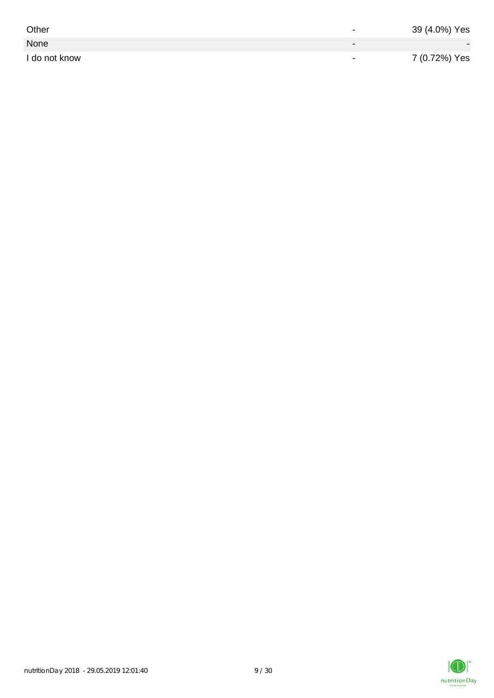| Other         | $\overline{\phantom{0}}$ | 39 (4.0%) Yes |
|---------------|--------------------------|---------------|
| None          |                          |               |
| I do not know | $\,$                     | 7 (0.72%) Yes |

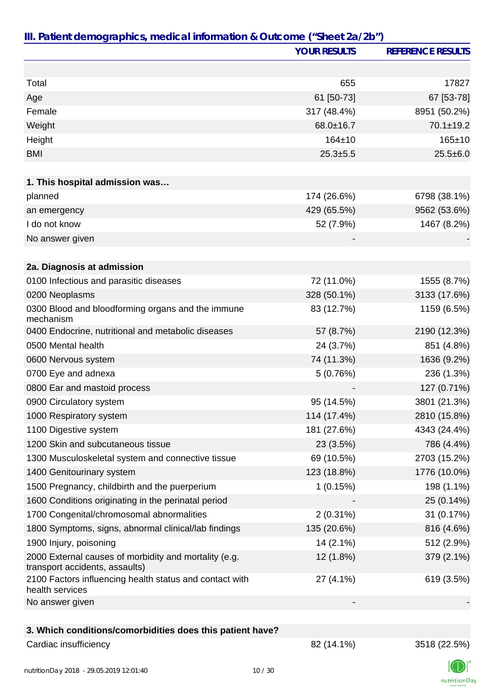| III. Patient demographics, medical information & Outcome ("Sheet 2a/2b")                |                     |                          |
|-----------------------------------------------------------------------------------------|---------------------|--------------------------|
|                                                                                         | <b>YOUR RESULTS</b> | <b>REFERENCE RESULTS</b> |
|                                                                                         |                     |                          |
| Total                                                                                   | 655                 | 17827                    |
| Age                                                                                     | 61 [50-73]          | 67 [53-78]               |
| Female                                                                                  | 317 (48.4%)         | 8951 (50.2%)             |
| Weight                                                                                  | 68.0±16.7           | $70.1 \pm 19.2$          |
| Height                                                                                  | $164 + 10$          | $165 + 10$               |
| <b>BMI</b>                                                                              | $25.3 + 5.5$        | $25.5 + 6.0$             |
|                                                                                         |                     |                          |
| 1. This hospital admission was                                                          |                     |                          |
| planned                                                                                 | 174 (26.6%)         | 6798 (38.1%)             |
| an emergency                                                                            | 429 (65.5%)         | 9562 (53.6%)             |
| I do not know                                                                           | 52 (7.9%)           | 1467 (8.2%)              |
| No answer given                                                                         |                     |                          |
|                                                                                         |                     |                          |
| 2a. Diagnosis at admission                                                              |                     |                          |
| 0100 Infectious and parasitic diseases                                                  | 72 (11.0%)          | 1555 (8.7%)              |
| 0200 Neoplasms                                                                          | 328 (50.1%)         | 3133 (17.6%)             |
| 0300 Blood and bloodforming organs and the immune<br>mechanism                          | 83 (12.7%)          | 1159 (6.5%)              |
| 0400 Endocrine, nutritional and metabolic diseases                                      | 57 (8.7%)           | 2190 (12.3%)             |
| 0500 Mental health                                                                      | 24 (3.7%)           | 851 (4.8%)               |
| 0600 Nervous system                                                                     | 74 (11.3%)          | 1636 (9.2%)              |
| 0700 Eye and adnexa                                                                     | 5(0.76%)            | 236 (1.3%)               |
| 0800 Ear and mastoid process                                                            |                     | 127 (0.71%)              |
| 0900 Circulatory system                                                                 | 95 (14.5%)          | 3801 (21.3%)             |
| 1000 Respiratory system                                                                 | 114 (17.4%)         | 2810 (15.8%)             |
| 1100 Digestive system                                                                   | 181 (27.6%)         | 4343 (24.4%)             |
| 1200 Skin and subcutaneous tissue                                                       | 23 (3.5%)           | 786 (4.4%)               |
| 1300 Musculoskeletal system and connective tissue                                       | 69 (10.5%)          | 2703 (15.2%)             |
| 1400 Genitourinary system                                                               | 123 (18.8%)         | 1776 (10.0%)             |
| 1500 Pregnancy, childbirth and the puerperium                                           | 1(0.15%)            | 198 (1.1%)               |
| 1600 Conditions originating in the perinatal period                                     |                     | 25 (0.14%)               |
| 1700 Congenital/chromosomal abnormalities                                               | $2(0.31\%)$         | 31 (0.17%)               |
| 1800 Symptoms, signs, abnormal clinical/lab findings                                    | 135 (20.6%)         | 816 (4.6%)               |
| 1900 Injury, poisoning                                                                  | 14 (2.1%)           | 512 (2.9%)               |
| 2000 External causes of morbidity and mortality (e.g.<br>transport accidents, assaults) | 12 (1.8%)           | 379 (2.1%)               |
| 2100 Factors influencing health status and contact with<br>health services              | 27 (4.1%)           | 619 (3.5%)               |
| No answer given                                                                         |                     |                          |
|                                                                                         |                     |                          |
| 3. Which conditions/comorbidities does this patient have?                               |                     |                          |
| Cardiac insufficiency                                                                   | 82 (14.1%)          | 3518 (22.5%)             |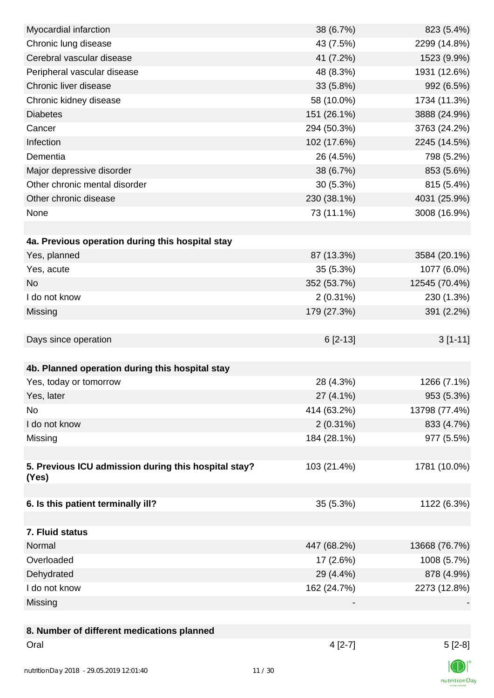| Myocardial infarction                                | 38 (6.7%)   | 823 (5.4%)    |
|------------------------------------------------------|-------------|---------------|
| Chronic lung disease                                 | 43 (7.5%)   | 2299 (14.8%)  |
| Cerebral vascular disease                            | 41 (7.2%)   | 1523 (9.9%)   |
| Peripheral vascular disease                          | 48 (8.3%)   | 1931 (12.6%)  |
| Chronic liver disease                                | 33 (5.8%)   | 992 (6.5%)    |
| Chronic kidney disease                               | 58 (10.0%)  | 1734 (11.3%)  |
| <b>Diabetes</b>                                      | 151 (26.1%) | 3888 (24.9%)  |
| Cancer                                               | 294 (50.3%) | 3763 (24.2%)  |
| Infection                                            | 102 (17.6%) | 2245 (14.5%)  |
| Dementia                                             | 26 (4.5%)   | 798 (5.2%)    |
| Major depressive disorder                            | 38 (6.7%)   | 853 (5.6%)    |
| Other chronic mental disorder                        | 30(5.3%)    | 815 (5.4%)    |
| Other chronic disease                                | 230 (38.1%) | 4031 (25.9%)  |
| None                                                 | 73 (11.1%)  | 3008 (16.9%)  |
|                                                      |             |               |
| 4a. Previous operation during this hospital stay     |             |               |
| Yes, planned                                         | 87 (13.3%)  | 3584 (20.1%)  |
| Yes, acute                                           | 35 (5.3%)   | 1077 (6.0%)   |
| <b>No</b>                                            | 352 (53.7%) | 12545 (70.4%) |
| I do not know                                        | $2(0.31\%)$ | 230 (1.3%)    |
| Missing                                              | 179 (27.3%) | 391 (2.2%)    |
|                                                      |             |               |
| Days since operation                                 | $6[2-13]$   | $3[1-11]$     |
|                                                      |             |               |
| 4b. Planned operation during this hospital stay      |             |               |
| Yes, today or tomorrow                               | 28 (4.3%)   | 1266 (7.1%)   |
| Yes, later                                           | 27 (4.1%)   | 953 (5.3%)    |
| No                                                   | 414 (63.2%) | 13798 (77.4%) |
| I do not know                                        | $2(0.31\%)$ | 833 (4.7%)    |
| Missing                                              | 184 (28.1%) | 977 (5.5%)    |
|                                                      |             |               |
| 5. Previous ICU admission during this hospital stay? | 103 (21.4%) | 1781 (10.0%)  |
| (Yes)                                                |             |               |
| 6. Is this patient terminally ill?                   | 35 (5.3%)   | 1122 (6.3%)   |
|                                                      |             |               |
| 7. Fluid status                                      |             |               |
| Normal                                               | 447 (68.2%) | 13668 (76.7%) |
| Overloaded                                           | 17(2.6%)    | 1008 (5.7%)   |
| Dehydrated                                           | 29 (4.4%)   | 878 (4.9%)    |
| I do not know                                        | 162 (24.7%) | 2273 (12.8%)  |
| Missing                                              |             |               |
|                                                      |             |               |
| 8. Number of different medications planned           |             |               |
| Oral                                                 | $4[2-7]$    | $5[2-8]$      |
|                                                      |             | $\sqrt{2}$    |
|                                                      |             |               |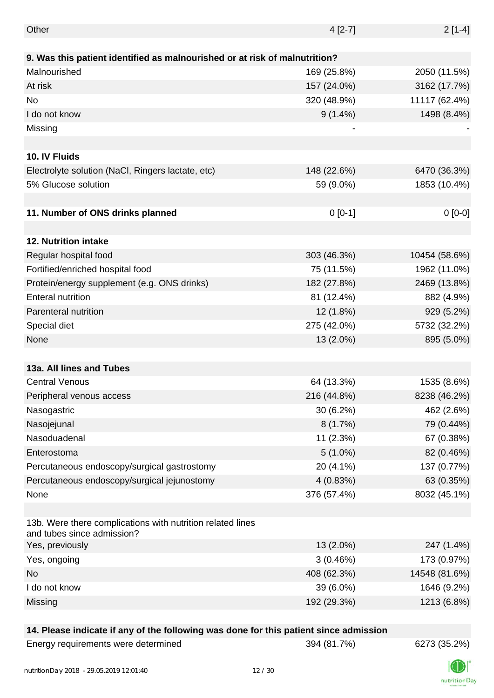| Other                                                                                    | $4[2-7]$    | $2[1-4]$      |
|------------------------------------------------------------------------------------------|-------------|---------------|
|                                                                                          |             |               |
| 9. Was this patient identified as malnourished or at risk of malnutrition?               |             |               |
| Malnourished                                                                             | 169 (25.8%) | 2050 (11.5%)  |
| At risk                                                                                  | 157 (24.0%) | 3162 (17.7%)  |
| <b>No</b>                                                                                | 320 (48.9%) | 11117 (62.4%) |
| I do not know                                                                            | $9(1.4\%)$  | 1498 (8.4%)   |
| Missing                                                                                  |             |               |
|                                                                                          |             |               |
| 10. IV Fluids                                                                            |             |               |
| Electrolyte solution (NaCl, Ringers lactate, etc)                                        | 148 (22.6%) | 6470 (36.3%)  |
| 5% Glucose solution                                                                      | 59 (9.0%)   | 1853 (10.4%)  |
|                                                                                          |             |               |
| 11. Number of ONS drinks planned                                                         | $0 [0-1]$   | $0[0-0]$      |
|                                                                                          |             |               |
| 12. Nutrition intake                                                                     |             |               |
| Regular hospital food                                                                    | 303 (46.3%) | 10454 (58.6%) |
| Fortified/enriched hospital food                                                         | 75 (11.5%)  | 1962 (11.0%)  |
| Protein/energy supplement (e.g. ONS drinks)                                              | 182 (27.8%) | 2469 (13.8%)  |
| <b>Enteral nutrition</b>                                                                 | 81 (12.4%)  | 882 (4.9%)    |
| Parenteral nutrition                                                                     | 12 (1.8%)   | 929 (5.2%)    |
| Special diet                                                                             | 275 (42.0%) | 5732 (32.2%)  |
| None                                                                                     | 13 (2.0%)   | 895 (5.0%)    |
|                                                                                          |             |               |
| 13a. All lines and Tubes                                                                 |             |               |
| <b>Central Venous</b>                                                                    | 64 (13.3%)  | 1535 (8.6%)   |
| Peripheral venous access                                                                 | 216 (44.8%) | 8238 (46.2%)  |
| Nasogastric                                                                              | $30(6.2\%)$ | 462 (2.6%)    |
| Nasojejunal                                                                              | 8(1.7%)     | 79 (0.44%)    |
| Nasoduadenal                                                                             | 11 (2.3%)   | 67 (0.38%)    |
| Enterostoma                                                                              | $5(1.0\%)$  | 82 (0.46%)    |
| Percutaneous endoscopy/surgical gastrostomy                                              | 20 (4.1%)   | 137 (0.77%)   |
| Percutaneous endoscopy/surgical jejunostomy                                              | 4(0.83%)    | 63 (0.35%)    |
| None                                                                                     | 376 (57.4%) | 8032 (45.1%)  |
|                                                                                          |             |               |
| 13b. Were there complications with nutrition related lines<br>and tubes since admission? |             |               |
| Yes, previously                                                                          | 13 (2.0%)   | 247 (1.4%)    |
| Yes, ongoing                                                                             | 3(0.46%)    | 173 (0.97%)   |
| <b>No</b>                                                                                | 408 (62.3%) | 14548 (81.6%) |
| I do not know                                                                            | 39 (6.0%)   | 1646 (9.2%)   |
| Missing                                                                                  | 192 (29.3%) | 1213 (6.8%)   |
|                                                                                          |             |               |

## **14. Please indicate if any of the following was done for this patient since admission**

Energy requirements were determined 394 (81.7%) 6273 (35.2%)

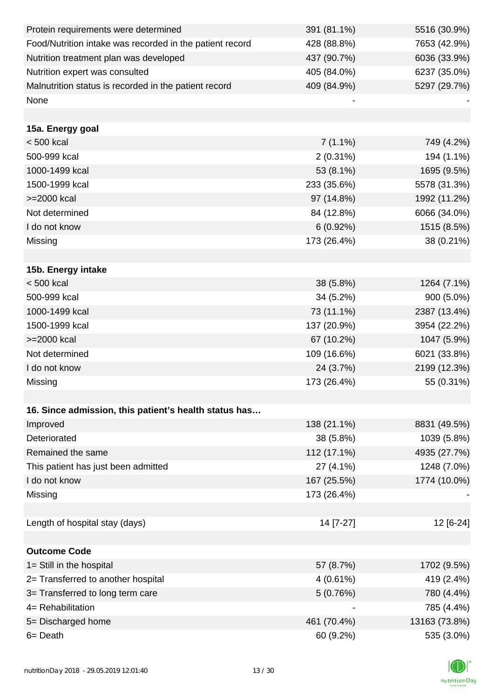| Protein requirements were determined                     | 391 (81.1%) | 5516 (30.9%)  |
|----------------------------------------------------------|-------------|---------------|
| Food/Nutrition intake was recorded in the patient record | 428 (88.8%) | 7653 (42.9%)  |
| Nutrition treatment plan was developed                   | 437 (90.7%) | 6036 (33.9%)  |
| Nutrition expert was consulted                           | 405 (84.0%) | 6237 (35.0%)  |
| Malnutrition status is recorded in the patient record    | 409 (84.9%) | 5297 (29.7%)  |
| None                                                     |             |               |
|                                                          |             |               |
| 15a. Energy goal                                         |             |               |
| $< 500$ kcal                                             | $7(1.1\%)$  | 749 (4.2%)    |
| 500-999 kcal                                             | $2(0.31\%)$ | 194 (1.1%)    |
| 1000-1499 kcal                                           | 53 (8.1%)   | 1695 (9.5%)   |
| 1500-1999 kcal                                           | 233 (35.6%) | 5578 (31.3%)  |
| >=2000 kcal                                              | 97 (14.8%)  | 1992 (11.2%)  |
| Not determined                                           | 84 (12.8%)  | 6066 (34.0%)  |
| I do not know                                            | 6(0.92%)    | 1515 (8.5%)   |
| Missing                                                  | 173 (26.4%) | 38 (0.21%)    |
|                                                          |             |               |
| 15b. Energy intake                                       |             |               |
| $< 500$ kcal                                             | 38 (5.8%)   | 1264 (7.1%)   |
| 500-999 kcal                                             | 34 (5.2%)   | 900 (5.0%)    |
| 1000-1499 kcal                                           | 73 (11.1%)  | 2387 (13.4%)  |
| 1500-1999 kcal                                           | 137 (20.9%) | 3954 (22.2%)  |
| >=2000 kcal                                              | 67 (10.2%)  | 1047 (5.9%)   |
| Not determined                                           | 109 (16.6%) | 6021 (33.8%)  |
| I do not know                                            | 24 (3.7%)   | 2199 (12.3%)  |
| Missing                                                  | 173 (26.4%) | 55 (0.31%)    |
|                                                          |             |               |
| 16. Since admission, this patient's health status has    |             |               |
| Improved                                                 | 138 (21.1%) | 8831 (49.5%)  |
| Deteriorated                                             | 38 (5.8%)   | 1039 (5.8%)   |
| Remained the same                                        | 112 (17.1%) | 4935 (27.7%)  |
| This patient has just been admitted                      | 27 (4.1%)   | 1248 (7.0%)   |
| I do not know                                            | 167 (25.5%) | 1774 (10.0%)  |
| Missing                                                  | 173 (26.4%) |               |
|                                                          |             |               |
| Length of hospital stay (days)                           | 14 [7-27]   | 12 [6-24]     |
|                                                          |             |               |
| <b>Outcome Code</b>                                      |             |               |
| 1= Still in the hospital                                 | 57 (8.7%)   | 1702 (9.5%)   |
| 2= Transferred to another hospital                       | $4(0.61\%)$ | 419 (2.4%)    |
| 3= Transferred to long term care                         | 5(0.76%)    | 780 (4.4%)    |
| 4= Rehabilitation                                        |             | 785 (4.4%)    |
| 5= Discharged home                                       | 461 (70.4%) | 13163 (73.8%) |
| 6= Death                                                 | 60 (9.2%)   | 535 (3.0%)    |

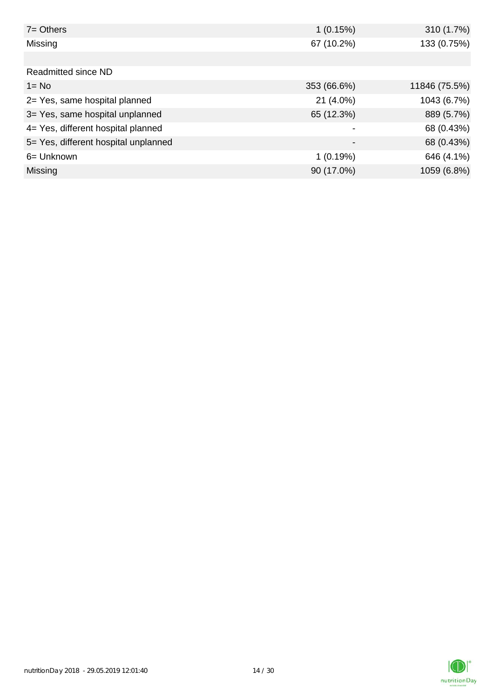| $7 = Others$                         | 1(0.15%)                 | 310 (1.7%)    |
|--------------------------------------|--------------------------|---------------|
| Missing                              | 67 (10.2%)               | 133 (0.75%)   |
|                                      |                          |               |
| Readmitted since ND                  |                          |               |
| $1 = No$                             | 353 (66.6%)              | 11846 (75.5%) |
| 2= Yes, same hospital planned        | 21 (4.0%)                | 1043 (6.7%)   |
| 3= Yes, same hospital unplanned      | 65 (12.3%)               | 889 (5.7%)    |
| 4= Yes, different hospital planned   |                          | 68 (0.43%)    |
| 5= Yes, different hospital unplanned | $\overline{\phantom{0}}$ | 68 (0.43%)    |
| 6= Unknown                           | 1(0.19%)                 | 646 (4.1%)    |
| Missing                              | 90 (17.0%)               | 1059 (6.8%)   |

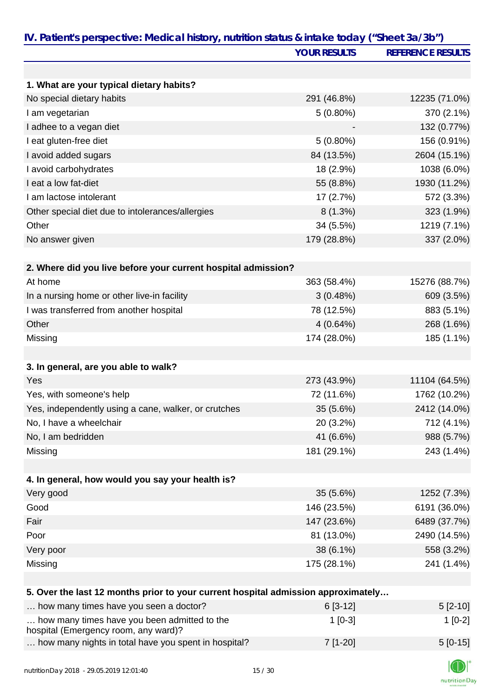|                                                                                      | <b>YOUR RESULTS</b> | <b>REFERENCE RESULTS</b> |
|--------------------------------------------------------------------------------------|---------------------|--------------------------|
|                                                                                      |                     |                          |
| 1. What are your typical dietary habits?                                             |                     |                          |
| No special dietary habits                                                            | 291 (46.8%)         | 12235 (71.0%)            |
| I am vegetarian                                                                      | $5(0.80\%)$         | 370 (2.1%)               |
| I adhee to a vegan diet                                                              |                     | 132 (0.77%)              |
| I eat gluten-free diet                                                               | $5(0.80\%)$         | 156 (0.91%)              |
| I avoid added sugars                                                                 | 84 (13.5%)          | 2604 (15.1%)             |
| I avoid carbohydrates                                                                | 18 (2.9%)           | 1038 (6.0%)              |
| I eat a low fat-diet                                                                 | 55 (8.8%)           | 1930 (11.2%)             |
| I am lactose intolerant                                                              | 17(2.7%)            | 572 (3.3%)               |
| Other special diet due to intolerances/allergies                                     | $8(1.3\%)$          | 323 (1.9%)               |
| Other                                                                                | 34 (5.5%)           | 1219 (7.1%)              |
| No answer given                                                                      | 179 (28.8%)         | 337 (2.0%)               |
| 2. Where did you live before your current hospital admission?                        |                     |                          |
| At home                                                                              | 363 (58.4%)         | 15276 (88.7%)            |
| In a nursing home or other live-in facility                                          | 3(0.48%)            | 609 (3.5%)               |
| I was transferred from another hospital                                              | 78 (12.5%)          | 883 (5.1%)               |
| Other                                                                                | 4(0.64%)            | 268 (1.6%)               |
| Missing                                                                              | 174 (28.0%)         | 185 (1.1%)               |
|                                                                                      |                     |                          |
| 3. In general, are you able to walk?                                                 |                     |                          |
| Yes                                                                                  | 273 (43.9%)         | 11104 (64.5%)            |
| Yes, with someone's help                                                             | 72 (11.6%)          | 1762 (10.2%)             |
| Yes, independently using a cane, walker, or crutches                                 | 35 (5.6%)           | 2412 (14.0%)             |
| No, I have a wheelchair                                                              | 20 (3.2%)           | 712 (4.1%)               |
| No, I am bedridden                                                                   | 41 (6.6%)           | 988 (5.7%)               |
| Missing                                                                              | 181 (29.1%)         | 243 (1.4%)               |
| 4. In general, how would you say your health is?                                     |                     |                          |
| Very good                                                                            | 35 (5.6%)           | 1252 (7.3%)              |
| Good                                                                                 | 146 (23.5%)         | 6191 (36.0%)             |
| Fair                                                                                 | 147 (23.6%)         | 6489 (37.7%)             |
| Poor                                                                                 | 81 (13.0%)          | 2490 (14.5%)             |
| Very poor                                                                            | 38 (6.1%)           | 558 (3.2%)               |
| Missing                                                                              | 175 (28.1%)         | 241 (1.4%)               |
|                                                                                      |                     |                          |
| 5. Over the last 12 months prior to your current hospital admission approximately    |                     |                          |
| how many times have you seen a doctor?                                               | $6[3-12]$           | $5[2-10]$                |
| how many times have you been admitted to the<br>hospital (Emergency room, any ward)? | $1[0-3]$            | $1[0-2]$                 |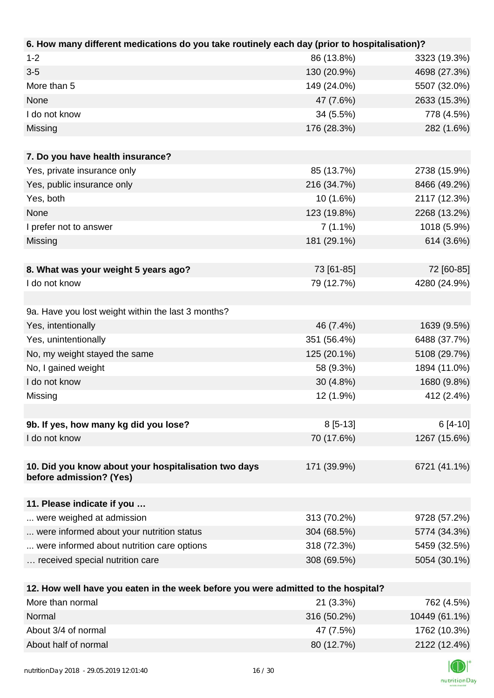| 6. How many different medications do you take routinely each day (prior to hospitalisation)? |                   |              |
|----------------------------------------------------------------------------------------------|-------------------|--------------|
| $1 - 2$                                                                                      | 86 (13.8%)        | 3323 (19.3%) |
| $3 - 5$                                                                                      | 130 (20.9%)       | 4698 (27.3%) |
| More than 5                                                                                  | 149 (24.0%)       | 5507 (32.0%) |
| None                                                                                         | 47 (7.6%)         | 2633 (15.3%) |
| I do not know                                                                                | 34 (5.5%)         | 778 (4.5%)   |
| Missing                                                                                      | 176 (28.3%)       | 282 (1.6%)   |
|                                                                                              |                   |              |
| 7. Do you have health insurance?                                                             |                   |              |
| Yes, private insurance only                                                                  | 85 (13.7%)        | 2738 (15.9%) |
| Yes, public insurance only                                                                   | 216 (34.7%)       | 8466 (49.2%) |
| Yes, both                                                                                    | 10 (1.6%)         | 2117 (12.3%) |
| None                                                                                         | 123 (19.8%)       | 2268 (13.2%) |
| I prefer not to answer                                                                       | $7(1.1\%)$        | 1018 (5.9%)  |
| Missing                                                                                      | 181 (29.1%)       | 614 (3.6%)   |
|                                                                                              |                   |              |
| 8. What was your weight 5 years ago?                                                         | 73 [61-85]        | 72 [60-85]   |
| I do not know                                                                                | 79 (12.7%)        | 4280 (24.9%) |
|                                                                                              |                   |              |
| 9a. Have you lost weight within the last 3 months?                                           |                   |              |
| Yes, intentionally                                                                           | 46 (7.4%)         | 1639 (9.5%)  |
| Yes, unintentionally                                                                         | 351 (56.4%)       | 6488 (37.7%) |
| No, my weight stayed the same                                                                | 125 (20.1%)       | 5108 (29.7%) |
| No, I gained weight                                                                          | 58 (9.3%)         | 1894 (11.0%) |
| I do not know                                                                                | 30 (4.8%)         | 1680 (9.8%)  |
| Missing                                                                                      | 12 (1.9%)         | 412 (2.4%)   |
|                                                                                              |                   |              |
| 9b. If yes, how many kg did you lose?                                                        | $8[5-13]$         | $6[4-10]$    |
| I do not know                                                                                | 70 (17.6%)        | 1267 (15.6%) |
|                                                                                              |                   |              |
| 10. Did you know about your hospitalisation two days                                         | 171 (39.9%)       | 6721 (41.1%) |
| before admission? (Yes)                                                                      |                   |              |
| 11. Please indicate if you                                                                   |                   |              |
| were weighed at admission                                                                    | 313 (70.2%)       | 9728 (57.2%) |
| were informed about your nutrition status                                                    | 304 (68.5%)       | 5774 (34.3%) |
| were informed about nutrition care options                                                   | 318 (72.3%)       | 5459 (32.5%) |
| received special nutrition care                                                              | 308 (69.5%)       | 5054 (30.1%) |
|                                                                                              |                   |              |
| 12. How well have you eaten in the week before you were admitted to the hospital?            |                   |              |
| More than normal                                                                             | 21 (3.3%)         | 762 (4.5%)   |
| <b>Normal</b>                                                                                | $24C$ (EQ $20(1)$ | 10110(6110)  |

| MULE MIDITION        | Z I (3.370) | 702 (4.970)   |
|----------------------|-------------|---------------|
| Normal               | 316 (50.2%) | 10449 (61.1%) |
| About 3/4 of normal  | 47 (7.5%)   | 1762 (10.3%)  |
| About half of normal | 80 (12.7%)  | 2122 (12.4%)  |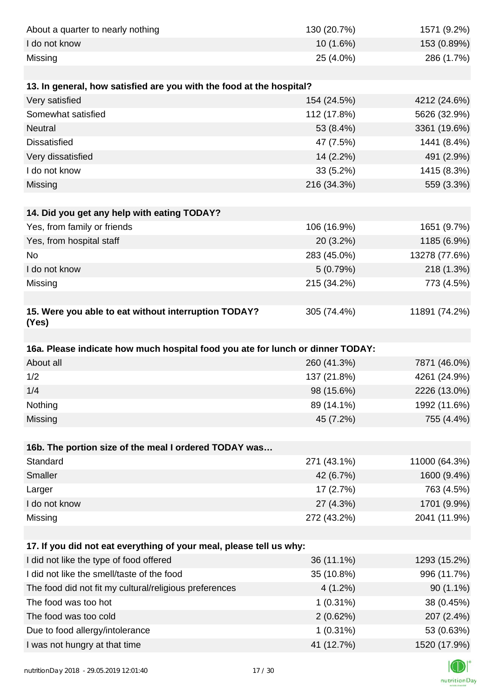| About a quarter to nearly nothing                                              | 130 (20.7%)               | 1571 (9.2%)                |
|--------------------------------------------------------------------------------|---------------------------|----------------------------|
| I do not know                                                                  | 10 (1.6%)                 | 153 (0.89%)                |
| Missing                                                                        | 25 (4.0%)                 | 286 (1.7%)                 |
|                                                                                |                           |                            |
| 13. In general, how satisfied are you with the food at the hospital?           |                           |                            |
| Very satisfied                                                                 | 154 (24.5%)               | 4212 (24.6%)               |
| Somewhat satisfied                                                             | 112 (17.8%)               | 5626 (32.9%)               |
| <b>Neutral</b>                                                                 | 53 (8.4%)                 | 3361 (19.6%)               |
| <b>Dissatisfied</b>                                                            | 47 (7.5%)                 | 1441 (8.4%)                |
| Very dissatisfied                                                              | 14 (2.2%)                 | 491 (2.9%)                 |
| I do not know                                                                  | 33 (5.2%)                 | 1415 (8.3%)                |
| Missing                                                                        | 216 (34.3%)               | 559 (3.3%)                 |
|                                                                                |                           |                            |
| 14. Did you get any help with eating TODAY?                                    |                           |                            |
| Yes, from family or friends                                                    | 106 (16.9%)               | 1651 (9.7%)                |
| Yes, from hospital staff                                                       | 20 (3.2%)                 | 1185 (6.9%)                |
| <b>No</b>                                                                      | 283 (45.0%)               | 13278 (77.6%)              |
| I do not know                                                                  | 5(0.79%)                  | 218 (1.3%)                 |
| Missing                                                                        | 215 (34.2%)               | 773 (4.5%)                 |
|                                                                                |                           |                            |
| 15. Were you able to eat without interruption TODAY?<br>(Yes)                  | 305 (74.4%)               | 11891 (74.2%)              |
|                                                                                |                           |                            |
|                                                                                |                           |                            |
| 16a. Please indicate how much hospital food you ate for lunch or dinner TODAY: |                           |                            |
| About all                                                                      | 260 (41.3%)               | 7871 (46.0%)               |
| 1/2                                                                            | 137 (21.8%)               | 4261 (24.9%)               |
| 1/4                                                                            | 98 (15.6%)                | 2226 (13.0%)               |
| Nothing                                                                        | 89 (14.1%)                | 1992 (11.6%)               |
| Missing                                                                        | 45 (7.2%)                 | 755 (4.4%)                 |
|                                                                                |                           |                            |
| 16b. The portion size of the meal I ordered TODAY was                          |                           |                            |
| Standard                                                                       | 271 (43.1%)               | 11000 (64.3%)              |
| <b>Smaller</b>                                                                 | 42 (6.7%)                 | 1600 (9.4%)                |
| Larger                                                                         | 17(2.7%)                  | 763 (4.5%)                 |
| I do not know                                                                  | 27 (4.3%)                 | 1701 (9.9%)                |
| Missing                                                                        | 272 (43.2%)               | 2041 (11.9%)               |
|                                                                                |                           |                            |
| 17. If you did not eat everything of your meal, please tell us why:            |                           |                            |
| I did not like the type of food offered                                        | 36 (11.1%)                | 1293 (15.2%)               |
| I did not like the smell/taste of the food                                     | 35 (10.8%)                | 996 (11.7%)                |
| The food did not fit my cultural/religious preferences                         | 4(1.2%)                   | 90 (1.1%)                  |
| The food was too hot                                                           | $1(0.31\%)$               | 38 (0.45%)                 |
| The food was too cold                                                          | 2(0.62%)                  | 207 (2.4%)                 |
| Due to food allergy/intolerance<br>I was not hungry at that time               | $1(0.31\%)$<br>41 (12.7%) | 53 (0.63%)<br>1520 (17.9%) |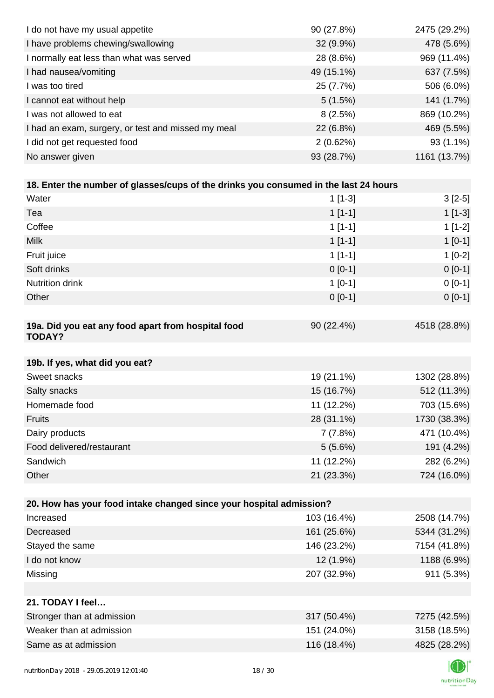| I do not have my usual appetite                                                      | 90 (27.8%)  | 2475 (29.2%) |
|--------------------------------------------------------------------------------------|-------------|--------------|
| I have problems chewing/swallowing                                                   | 32 (9.9%)   | 478 (5.6%)   |
| I normally eat less than what was served                                             | 28 (8.6%)   | 969 (11.4%)  |
| I had nausea/vomiting                                                                | 49 (15.1%)  | 637 (7.5%)   |
| I was too tired                                                                      | 25 (7.7%)   | 506 (6.0%)   |
| I cannot eat without help                                                            | 5(1.5%)     | 141 (1.7%)   |
| I was not allowed to eat                                                             | 8(2.5%)     | 869 (10.2%)  |
| I had an exam, surgery, or test and missed my meal                                   | 22 (6.8%)   | 469 (5.5%)   |
| I did not get requested food                                                         | 2(0.62%)    | 93 (1.1%)    |
| No answer given                                                                      | 93 (28.7%)  | 1161 (13.7%) |
|                                                                                      |             |              |
| 18. Enter the number of glasses/cups of the drinks you consumed in the last 24 hours |             |              |
| Water                                                                                | $1[1-3]$    | $3[2-5]$     |
| Tea                                                                                  | $1[1-1]$    | $1[1-3]$     |
| Coffee                                                                               | $1[1-1]$    | $1[1-2]$     |
| <b>Milk</b>                                                                          | $1[1-1]$    | $1[0-1]$     |
| Fruit juice                                                                          | $1[1-1]$    | $1[0-2]$     |
| Soft drinks                                                                          | $0[0-1]$    | $0[0-1]$     |
| Nutrition drink                                                                      | $1[0-1]$    | $0[0-1]$     |
| Other                                                                                | $0[0-1]$    | $0 [0-1]$    |
|                                                                                      |             |              |
| 19a. Did you eat any food apart from hospital food<br><b>TODAY?</b>                  | 90 (22.4%)  | 4518 (28.8%) |
| 19b. If yes, what did you eat?                                                       |             |              |
| Sweet snacks                                                                         | 19 (21.1%)  | 1302 (28.8%) |
| Salty snacks                                                                         | 15 (16.7%)  | 512 (11.3%)  |
| Homemade food                                                                        | 11 (12.2%)  | 703 (15.6%)  |
| <b>Fruits</b>                                                                        | 28 (31.1%)  | 1730 (38.3%) |
| Dairy products                                                                       | 7(7.8%)     | 471 (10.4%)  |
| Food delivered/restaurant                                                            | 5(5.6%)     | 191 (4.2%)   |
| Sandwich                                                                             | 11 (12.2%)  | 282 (6.2%)   |
| Other                                                                                | 21 (23.3%)  | 724 (16.0%)  |
|                                                                                      |             |              |
| 20. How has your food intake changed since your hospital admission?                  |             |              |
| Increased                                                                            | 103 (16.4%) | 2508 (14.7%) |
| Decreased                                                                            | 161 (25.6%) | 5344 (31.2%) |
| Stayed the same                                                                      | 146 (23.2%) | 7154 (41.8%) |
| I do not know                                                                        | 12 (1.9%)   | 1188 (6.9%)  |
| Missing                                                                              | 207 (32.9%) | 911 (5.3%)   |
|                                                                                      |             |              |
| 21. TODAY I feel                                                                     |             |              |
| Stronger than at admission                                                           | 317 (50.4%) | 7275 (42.5%) |
| Weaker than at admission                                                             | 151 (24.0%) | 3158 (18.5%) |
| Same as at admission                                                                 | 116 (18.4%) | 4825 (28.2%) |
|                                                                                      |             |              |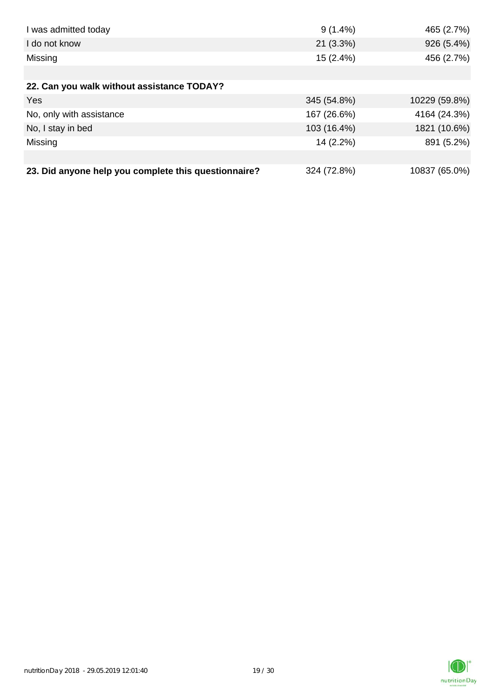| I was admitted today                                 | $9(1.4\%)$  | 465 (2.7%)    |
|------------------------------------------------------|-------------|---------------|
| I do not know                                        | 21(3.3%)    | 926 (5.4%)    |
| Missing                                              | 15(2.4%)    | 456 (2.7%)    |
|                                                      |             |               |
| 22. Can you walk without assistance TODAY?           |             |               |
| Yes                                                  | 345 (54.8%) | 10229 (59.8%) |
| No, only with assistance                             | 167 (26.6%) | 4164 (24.3%)  |
| No, I stay in bed                                    | 103 (16.4%) | 1821 (10.6%)  |
| Missing                                              | 14 (2.2%)   | 891 (5.2%)    |
|                                                      |             |               |
| 23. Did anyone help you complete this questionnaire? | 324 (72.8%) | 10837 (65.0%) |

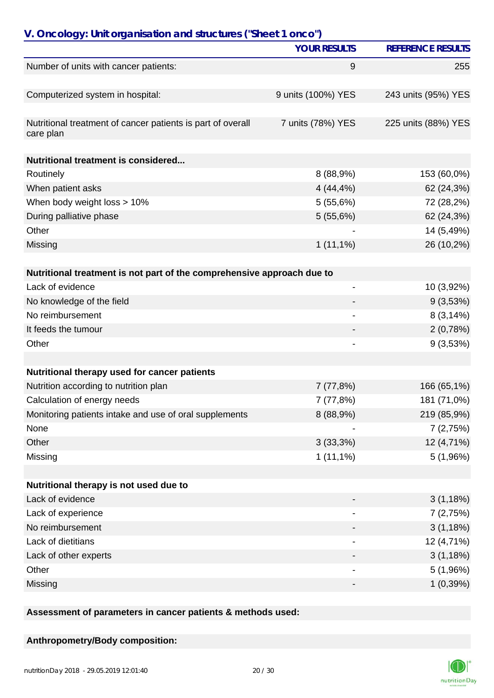| <b>REFERENCE RESULTS</b><br><b>YOUR RESULTS</b><br>Number of units with cancer patients:<br>9<br>255<br>Computerized system in hospital:<br>9 units (100%) YES<br>243 units (95%) YES<br>Nutritional treatment of cancer patients is part of overall<br>7 units (78%) YES<br>225 units (88%) YES<br>care plan<br>Nutritional treatment is considered<br>8 (88,9%)<br>153 (60,0%)<br>Routinely<br>When patient asks<br>4(44,4%<br>62 (24,3%)<br>When body weight loss > 10%<br>5(55,6%)<br>72 (28,2%)<br>During palliative phase<br>62 (24,3%)<br>5(55,6%)<br>14 (5,49%)<br>Other<br>$1(11,1\%)$<br>26 (10,2%)<br>Missing<br>Nutritional treatment is not part of the comprehensive approach due to<br>Lack of evidence<br>10 (3,92%)<br>-<br>No knowledge of the field<br>9(3,53%)<br>No reimbursement<br>8(3,14%)<br>It feeds the tumour<br>2(0,78%)<br>9(3,53%)<br>Other<br>Nutritional therapy used for cancer patients<br>Nutrition according to nutrition plan<br>166 (65,1%)<br>7(77,8%)<br>181 (71,0%)<br>Calculation of energy needs<br>7 (77,8%)<br>Monitoring patients intake and use of oral supplements<br>8 (88,9%)<br>219 (85,9%)<br>None<br>7(2,75%)<br>Other<br>3(33,3%)<br>12 (4,71%)<br>$1(11,1\%)$<br>Missing<br>5(1,96%)<br>Nutritional therapy is not used due to<br>Lack of evidence<br>3(1,18%)<br>Lack of experience<br>7(2,75%)<br>No reimbursement<br>3(1,18%)<br>Lack of dietitians<br>12 (4,71%)<br>$\overline{a}$<br>3(1,18%)<br>Lack of other experts<br>Other<br>5(1,96%)<br>- | V. Oncology: Unit organisation and structures ("Sheet 1 onco") |  |  |
|---------------------------------------------------------------------------------------------------------------------------------------------------------------------------------------------------------------------------------------------------------------------------------------------------------------------------------------------------------------------------------------------------------------------------------------------------------------------------------------------------------------------------------------------------------------------------------------------------------------------------------------------------------------------------------------------------------------------------------------------------------------------------------------------------------------------------------------------------------------------------------------------------------------------------------------------------------------------------------------------------------------------------------------------------------------------------------------------------------------------------------------------------------------------------------------------------------------------------------------------------------------------------------------------------------------------------------------------------------------------------------------------------------------------------------------------------------------------------------------------------------------|----------------------------------------------------------------|--|--|
|                                                                                                                                                                                                                                                                                                                                                                                                                                                                                                                                                                                                                                                                                                                                                                                                                                                                                                                                                                                                                                                                                                                                                                                                                                                                                                                                                                                                                                                                                                               |                                                                |  |  |
|                                                                                                                                                                                                                                                                                                                                                                                                                                                                                                                                                                                                                                                                                                                                                                                                                                                                                                                                                                                                                                                                                                                                                                                                                                                                                                                                                                                                                                                                                                               |                                                                |  |  |
|                                                                                                                                                                                                                                                                                                                                                                                                                                                                                                                                                                                                                                                                                                                                                                                                                                                                                                                                                                                                                                                                                                                                                                                                                                                                                                                                                                                                                                                                                                               |                                                                |  |  |
|                                                                                                                                                                                                                                                                                                                                                                                                                                                                                                                                                                                                                                                                                                                                                                                                                                                                                                                                                                                                                                                                                                                                                                                                                                                                                                                                                                                                                                                                                                               |                                                                |  |  |
|                                                                                                                                                                                                                                                                                                                                                                                                                                                                                                                                                                                                                                                                                                                                                                                                                                                                                                                                                                                                                                                                                                                                                                                                                                                                                                                                                                                                                                                                                                               |                                                                |  |  |
|                                                                                                                                                                                                                                                                                                                                                                                                                                                                                                                                                                                                                                                                                                                                                                                                                                                                                                                                                                                                                                                                                                                                                                                                                                                                                                                                                                                                                                                                                                               |                                                                |  |  |
|                                                                                                                                                                                                                                                                                                                                                                                                                                                                                                                                                                                                                                                                                                                                                                                                                                                                                                                                                                                                                                                                                                                                                                                                                                                                                                                                                                                                                                                                                                               |                                                                |  |  |
|                                                                                                                                                                                                                                                                                                                                                                                                                                                                                                                                                                                                                                                                                                                                                                                                                                                                                                                                                                                                                                                                                                                                                                                                                                                                                                                                                                                                                                                                                                               |                                                                |  |  |
|                                                                                                                                                                                                                                                                                                                                                                                                                                                                                                                                                                                                                                                                                                                                                                                                                                                                                                                                                                                                                                                                                                                                                                                                                                                                                                                                                                                                                                                                                                               |                                                                |  |  |
|                                                                                                                                                                                                                                                                                                                                                                                                                                                                                                                                                                                                                                                                                                                                                                                                                                                                                                                                                                                                                                                                                                                                                                                                                                                                                                                                                                                                                                                                                                               |                                                                |  |  |
|                                                                                                                                                                                                                                                                                                                                                                                                                                                                                                                                                                                                                                                                                                                                                                                                                                                                                                                                                                                                                                                                                                                                                                                                                                                                                                                                                                                                                                                                                                               |                                                                |  |  |
|                                                                                                                                                                                                                                                                                                                                                                                                                                                                                                                                                                                                                                                                                                                                                                                                                                                                                                                                                                                                                                                                                                                                                                                                                                                                                                                                                                                                                                                                                                               |                                                                |  |  |
|                                                                                                                                                                                                                                                                                                                                                                                                                                                                                                                                                                                                                                                                                                                                                                                                                                                                                                                                                                                                                                                                                                                                                                                                                                                                                                                                                                                                                                                                                                               |                                                                |  |  |
|                                                                                                                                                                                                                                                                                                                                                                                                                                                                                                                                                                                                                                                                                                                                                                                                                                                                                                                                                                                                                                                                                                                                                                                                                                                                                                                                                                                                                                                                                                               |                                                                |  |  |
|                                                                                                                                                                                                                                                                                                                                                                                                                                                                                                                                                                                                                                                                                                                                                                                                                                                                                                                                                                                                                                                                                                                                                                                                                                                                                                                                                                                                                                                                                                               |                                                                |  |  |
|                                                                                                                                                                                                                                                                                                                                                                                                                                                                                                                                                                                                                                                                                                                                                                                                                                                                                                                                                                                                                                                                                                                                                                                                                                                                                                                                                                                                                                                                                                               |                                                                |  |  |
|                                                                                                                                                                                                                                                                                                                                                                                                                                                                                                                                                                                                                                                                                                                                                                                                                                                                                                                                                                                                                                                                                                                                                                                                                                                                                                                                                                                                                                                                                                               |                                                                |  |  |
|                                                                                                                                                                                                                                                                                                                                                                                                                                                                                                                                                                                                                                                                                                                                                                                                                                                                                                                                                                                                                                                                                                                                                                                                                                                                                                                                                                                                                                                                                                               |                                                                |  |  |
|                                                                                                                                                                                                                                                                                                                                                                                                                                                                                                                                                                                                                                                                                                                                                                                                                                                                                                                                                                                                                                                                                                                                                                                                                                                                                                                                                                                                                                                                                                               |                                                                |  |  |
|                                                                                                                                                                                                                                                                                                                                                                                                                                                                                                                                                                                                                                                                                                                                                                                                                                                                                                                                                                                                                                                                                                                                                                                                                                                                                                                                                                                                                                                                                                               |                                                                |  |  |
|                                                                                                                                                                                                                                                                                                                                                                                                                                                                                                                                                                                                                                                                                                                                                                                                                                                                                                                                                                                                                                                                                                                                                                                                                                                                                                                                                                                                                                                                                                               |                                                                |  |  |
|                                                                                                                                                                                                                                                                                                                                                                                                                                                                                                                                                                                                                                                                                                                                                                                                                                                                                                                                                                                                                                                                                                                                                                                                                                                                                                                                                                                                                                                                                                               |                                                                |  |  |
|                                                                                                                                                                                                                                                                                                                                                                                                                                                                                                                                                                                                                                                                                                                                                                                                                                                                                                                                                                                                                                                                                                                                                                                                                                                                                                                                                                                                                                                                                                               |                                                                |  |  |
|                                                                                                                                                                                                                                                                                                                                                                                                                                                                                                                                                                                                                                                                                                                                                                                                                                                                                                                                                                                                                                                                                                                                                                                                                                                                                                                                                                                                                                                                                                               |                                                                |  |  |
|                                                                                                                                                                                                                                                                                                                                                                                                                                                                                                                                                                                                                                                                                                                                                                                                                                                                                                                                                                                                                                                                                                                                                                                                                                                                                                                                                                                                                                                                                                               |                                                                |  |  |
|                                                                                                                                                                                                                                                                                                                                                                                                                                                                                                                                                                                                                                                                                                                                                                                                                                                                                                                                                                                                                                                                                                                                                                                                                                                                                                                                                                                                                                                                                                               |                                                                |  |  |
|                                                                                                                                                                                                                                                                                                                                                                                                                                                                                                                                                                                                                                                                                                                                                                                                                                                                                                                                                                                                                                                                                                                                                                                                                                                                                                                                                                                                                                                                                                               |                                                                |  |  |
|                                                                                                                                                                                                                                                                                                                                                                                                                                                                                                                                                                                                                                                                                                                                                                                                                                                                                                                                                                                                                                                                                                                                                                                                                                                                                                                                                                                                                                                                                                               |                                                                |  |  |
|                                                                                                                                                                                                                                                                                                                                                                                                                                                                                                                                                                                                                                                                                                                                                                                                                                                                                                                                                                                                                                                                                                                                                                                                                                                                                                                                                                                                                                                                                                               |                                                                |  |  |
|                                                                                                                                                                                                                                                                                                                                                                                                                                                                                                                                                                                                                                                                                                                                                                                                                                                                                                                                                                                                                                                                                                                                                                                                                                                                                                                                                                                                                                                                                                               |                                                                |  |  |
|                                                                                                                                                                                                                                                                                                                                                                                                                                                                                                                                                                                                                                                                                                                                                                                                                                                                                                                                                                                                                                                                                                                                                                                                                                                                                                                                                                                                                                                                                                               |                                                                |  |  |
|                                                                                                                                                                                                                                                                                                                                                                                                                                                                                                                                                                                                                                                                                                                                                                                                                                                                                                                                                                                                                                                                                                                                                                                                                                                                                                                                                                                                                                                                                                               |                                                                |  |  |
| 1(0,39%)<br>Missing<br>-                                                                                                                                                                                                                                                                                                                                                                                                                                                                                                                                                                                                                                                                                                                                                                                                                                                                                                                                                                                                                                                                                                                                                                                                                                                                                                                                                                                                                                                                                      |                                                                |  |  |

#### **Assessment of parameters in cancer patients & methods used:**

### **Anthropometry/Body composition:**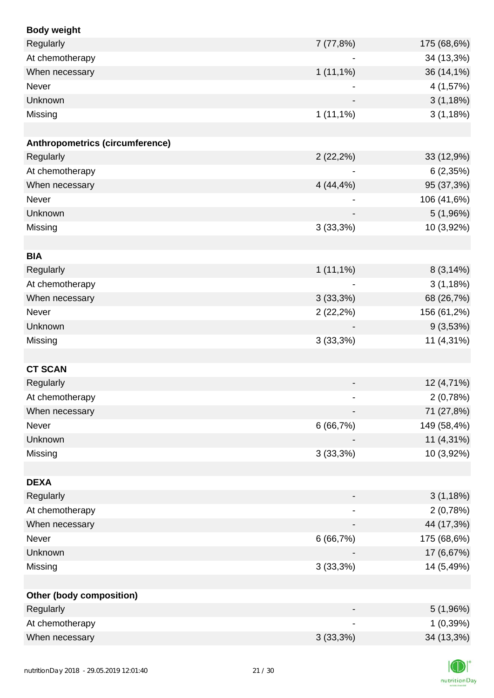| <b>Body weight</b>              |                          |             |
|---------------------------------|--------------------------|-------------|
| Regularly                       | 7(77,8%)                 | 175 (68,6%) |
| At chemotherapy                 |                          | 34 (13,3%)  |
| When necessary                  | $1(11,1\%)$              | 36 (14,1%)  |
| Never                           |                          | 4 (1,57%)   |
| Unknown                         |                          | 3(1,18%)    |
| Missing                         | $1(11,1\%)$              | 3(1,18%)    |
|                                 |                          |             |
| Anthropometrics (circumference) |                          |             |
| Regularly                       | 2(22,2%)                 | 33 (12,9%)  |
| At chemotherapy                 |                          | 6(2,35%)    |
| When necessary                  | 4(44,4%)                 | 95 (37,3%)  |
| Never                           |                          | 106 (41,6%) |
| Unknown                         | $\overline{\phantom{a}}$ | 5 (1,96%)   |
| Missing                         | 3(33,3%)                 | 10 (3,92%)  |
|                                 |                          |             |
| <b>BIA</b>                      |                          |             |
| Regularly                       | $1(11,1\%)$              | 8(3,14%)    |
| At chemotherapy                 |                          | 3(1,18%)    |
| When necessary                  | 3(33,3%)                 | 68 (26,7%)  |
| Never                           | 2(22,2%)                 | 156 (61,2%) |
| Unknown                         |                          | 9(3,53%)    |
| Missing                         | 3(33,3%)                 | 11 (4,31%)  |
|                                 |                          |             |
| <b>CT SCAN</b>                  |                          |             |
| Regularly                       |                          | 12 (4,71%)  |
| At chemotherapy                 |                          | 2(0,78%)    |
| When necessary                  |                          | 71 (27,8%)  |
| Never                           | 6(66,7%)                 | 149 (58,4%) |
| Unknown                         |                          | 11 (4,31%)  |
| Missing                         | 3(33,3%)                 | 10 (3,92%)  |
|                                 |                          |             |
| <b>DEXA</b>                     |                          |             |
| Regularly                       |                          | 3(1,18%)    |
| At chemotherapy                 |                          | 2(0,78%)    |
| When necessary                  | $\overline{\phantom{a}}$ | 44 (17,3%)  |
| Never                           | 6(66,7%)                 | 175 (68,6%) |
| Unknown                         |                          | 17 (6,67%)  |
| Missing                         | 3(33,3%)                 | 14 (5,49%)  |
|                                 |                          |             |
| Other (body composition)        |                          |             |
| Regularly                       |                          | 5(1,96%)    |
| At chemotherapy                 |                          | 1(0,39%)    |
| When necessary                  | 3(33,3%)                 | 34 (13,3%)  |
|                                 |                          |             |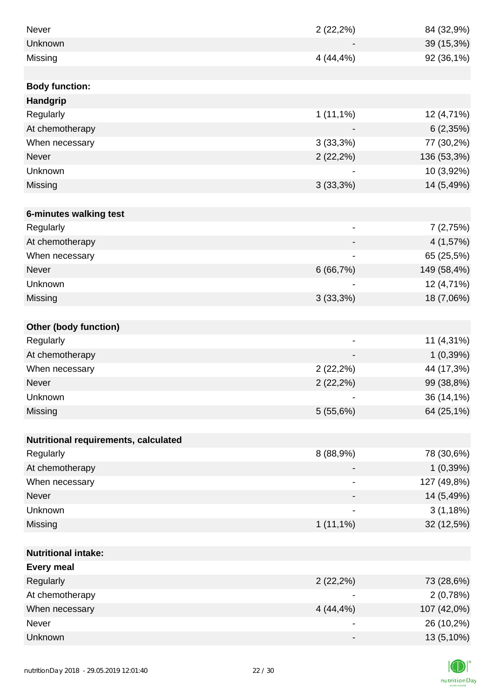| <b>Never</b>                         | 2(22,2%)                 | 84 (32,9%)  |
|--------------------------------------|--------------------------|-------------|
| Unknown                              |                          | 39 (15,3%)  |
| Missing                              | 4 (44,4%)                | 92 (36,1%)  |
|                                      |                          |             |
| <b>Body function:</b>                |                          |             |
| Handgrip                             |                          |             |
| Regularly                            | $1(11,1\%)$              | 12 (4,71%)  |
| At chemotherapy                      |                          | 6(2,35%)    |
| When necessary                       | 3(33,3%)                 | 77 (30,2%)  |
| <b>Never</b>                         | $2(22,2\%)$              | 136 (53,3%) |
| Unknown                              |                          | 10 (3,92%)  |
| Missing                              | 3(33,3%)                 | 14 (5,49%)  |
|                                      |                          |             |
| 6-minutes walking test               |                          |             |
| Regularly                            | $\overline{\phantom{a}}$ | 7(2,75%)    |
| At chemotherapy                      |                          | 4 (1,57%)   |
| When necessary                       |                          | 65 (25,5%)  |
| <b>Never</b>                         | 6(66,7%)                 | 149 (58,4%) |
| Unknown                              |                          | 12 (4,71%)  |
| Missing                              | 3(33,3%)                 | 18 (7,06%)  |
|                                      |                          |             |
| <b>Other (body function)</b>         |                          |             |
| Regularly                            | $\overline{\phantom{a}}$ | 11 (4,31%)  |
| At chemotherapy                      |                          | 1(0,39%)    |
| When necessary                       | 2(22,2%)                 | 44 (17,3%)  |
| Never                                | $2(22,2\%)$              | 99 (38,8%)  |
| Unknown                              |                          | 36 (14,1%)  |
| Missing                              | 5(55,6%)                 | 64 (25,1%)  |
|                                      |                          |             |
| Nutritional requirements, calculated |                          |             |
| Regularly                            | 8 (88,9%)                | 78 (30,6%)  |
| At chemotherapy                      |                          | 1(0,39%)    |
| When necessary                       |                          | 127 (49,8%) |
| Never                                |                          | 14 (5,49%)  |
| Unknown                              |                          | 3(1,18%)    |
| Missing                              | $1(11,1\%)$              | 32 (12,5%)  |
|                                      |                          |             |
| <b>Nutritional intake:</b>           |                          |             |
| <b>Every meal</b>                    |                          |             |
| Regularly                            | 2(22,2%)                 | 73 (28,6%)  |
| At chemotherapy                      |                          | 2(0,78%)    |
| When necessary                       | $4(44, 4\%)$             | 107 (42,0%) |
| Never                                | $\overline{\phantom{a}}$ | 26 (10,2%)  |
| Unknown                              |                          | 13 (5,10%)  |

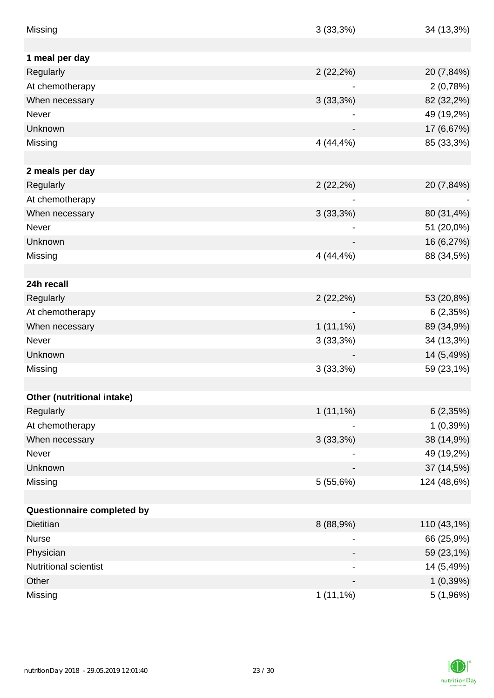| Missing                    | 3(33,3%)       | 34 (13,3%)  |
|----------------------------|----------------|-------------|
|                            |                |             |
| 1 meal per day             |                |             |
| Regularly                  | $2(22,2\%)$    | 20 (7,84%)  |
| At chemotherapy            |                | 2(0,78%)    |
| When necessary             | 3(33,3%)       | 82 (32,2%)  |
| Never                      |                | 49 (19,2%)  |
| Unknown                    |                | 17 (6,67%)  |
| Missing                    | 4 (44,4%)      | 85 (33,3%)  |
|                            |                |             |
| 2 meals per day            |                |             |
| Regularly                  | $2(22,2\%)$    | 20 (7,84%)  |
| At chemotherapy            |                |             |
| When necessary             | 3(33,3%)       | 80 (31,4%)  |
| <b>Never</b>               |                | 51 (20,0%)  |
| Unknown                    |                | 16 (6,27%)  |
| Missing                    | 4 (44,4%)      | 88 (34,5%)  |
|                            |                |             |
| 24h recall                 |                |             |
| Regularly                  | $2(22,2\%)$    | 53 (20,8%)  |
| At chemotherapy            |                | 6(2,35%)    |
| When necessary             | $1(11,1\%)$    | 89 (34,9%)  |
| Never                      | 3(33,3%)       | 34 (13,3%)  |
| Unknown                    |                | 14 (5,49%)  |
| Missing                    | 3(33,3%)       | 59 (23,1%)  |
|                            |                |             |
| Other (nutritional intake) |                |             |
| Regularly                  | $1(11,1\%)$    | 6(2,35%)    |
| At chemotherapy            |                | 1(0,39%)    |
| When necessary             | 3(33,3%)       | 38 (14,9%)  |
| Never                      | $\overline{a}$ | 49 (19,2%)  |
| Unknown                    |                | 37 (14,5%)  |
| Missing                    | 5(55,6%)       | 124 (48,6%) |
|                            |                |             |
| Questionnaire completed by |                |             |
| Dietitian                  | 8 (88,9%)      | 110 (43,1%) |
| <b>Nurse</b>               |                | 66 (25,9%)  |
| Physician                  | -              | 59 (23,1%)  |
| Nutritional scientist      | -              | 14 (5,49%)  |
| Other                      |                | 1(0,39%)    |
| Missing                    | $1(11,1\%)$    | 5(1,96%)    |

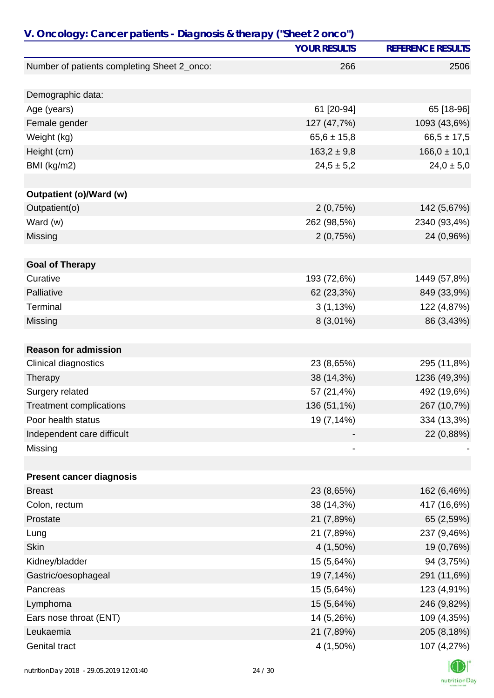|                                             | <b>YOUR RESULTS</b> | <b>REFERENCE RESULTS</b> |
|---------------------------------------------|---------------------|--------------------------|
| Number of patients completing Sheet 2_onco: | 266                 | 2506                     |
| Demographic data:                           |                     |                          |
| Age (years)                                 | 61 [20-94]          | 65 [18-96]               |
| Female gender                               | 127 (47,7%)         | 1093 (43,6%)             |
| Weight (kg)                                 | $65,6 \pm 15,8$     | $66,5 \pm 17,5$          |
| Height (cm)                                 | $163,2 \pm 9,8$     | $166,0 \pm 10,1$         |
| BMI (kg/m2)                                 | $24,5 \pm 5,2$      | $24,0 \pm 5,0$           |
|                                             |                     |                          |
| <b>Outpatient (o)/Ward (w)</b>              |                     |                          |
| Outpatient(o)                               | 2(0,75%)            | 142 (5,67%)              |
| Ward (w)                                    | 262 (98,5%)         | 2340 (93,4%)             |
| Missing                                     | 2(0,75%)            | 24 (0,96%)               |
| <b>Goal of Therapy</b>                      |                     |                          |
| Curative                                    | 193 (72,6%)         | 1449 (57,8%)             |
| Palliative                                  | 62 (23,3%)          | 849 (33,9%)              |
| Terminal                                    | 3(1,13%)            | 122 (4,87%)              |
| Missing                                     | $8(3,01\%)$         | 86 (3,43%)               |
|                                             |                     |                          |
| <b>Reason for admission</b>                 |                     |                          |
| Clinical diagnostics                        | 23 (8,65%)          | 295 (11,8%)              |
| Therapy                                     | 38 (14,3%)          | 1236 (49,3%)             |
| Surgery related                             | 57 (21,4%)          | 492 (19,6%)              |
| <b>Treatment complications</b>              | 136 (51,1%)         | 267 (10,7%)              |
| Poor health status                          | 19 (7,14%)          | 334 (13,3%)              |
| Independent care difficult                  |                     | 22 (0,88%)               |
| Missing                                     |                     |                          |
|                                             |                     |                          |
| <b>Present cancer diagnosis</b>             |                     |                          |
| <b>Breast</b>                               | 23 (8,65%)          | 162 (6,46%)              |
| Colon, rectum                               | 38 (14,3%)          | 417 (16,6%)              |
| Prostate                                    | 21 (7,89%)          | 65 (2,59%)               |
| Lung                                        | 21 (7,89%)          | 237 (9,46%)              |
| <b>Skin</b>                                 | $4(1,50\%)$         | 19 (0,76%)               |
| Kidney/bladder                              | 15 (5,64%)          | 94 (3,75%)               |
| Gastric/oesophageal                         | 19 (7,14%)          | 291 (11,6%)              |
| Pancreas                                    | 15 (5,64%)          | 123 (4,91%)              |
| Lymphoma                                    | 15 (5,64%)          | 246 (9,82%)              |
| Ears nose throat (ENT)                      | 14 (5,26%)          | 109 (4,35%)              |
| Leukaemia                                   | 21 (7,89%)          | 205 (8,18%)              |
| Genital tract                               | 4 (1,50%)           | 107 (4,27%)              |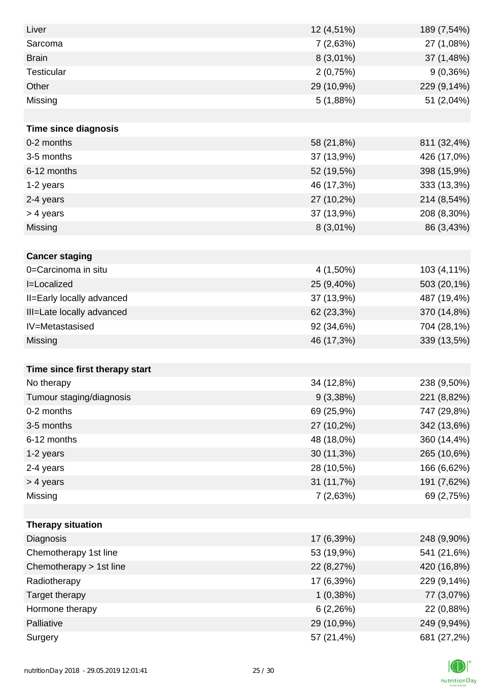| Liver                          | 12 (4,51%)  | 189 (7,54%) |
|--------------------------------|-------------|-------------|
| Sarcoma                        | 7(2,63%)    | 27 (1,08%)  |
| <b>Brain</b>                   | $8(3,01\%)$ | 37 (1,48%)  |
| <b>Testicular</b>              | 2(0,75%)    | 9(0,36%)    |
| Other                          | 29 (10,9%)  | 229 (9,14%) |
| Missing                        | 5(1,88%)    | 51 (2,04%)  |
|                                |             |             |
| <b>Time since diagnosis</b>    |             |             |
| 0-2 months                     | 58 (21,8%)  | 811 (32,4%) |
| 3-5 months                     | 37 (13,9%)  | 426 (17,0%) |
| 6-12 months                    | 52 (19,5%)  | 398 (15,9%) |
| 1-2 years                      | 46 (17,3%)  | 333 (13,3%) |
| 2-4 years                      | 27 (10,2%)  | 214 (8,54%) |
| > 4 years                      | 37 (13,9%)  | 208 (8,30%) |
| Missing                        | $8(3,01\%)$ | 86 (3,43%)  |
|                                |             |             |
| <b>Cancer staging</b>          |             |             |
| 0=Carcinoma in situ            | 4 (1,50%)   | 103 (4,11%) |
| I=Localized                    | 25 (9,40%)  | 503 (20,1%) |
| II=Early locally advanced      | 37 (13,9%)  | 487 (19,4%) |
| III=Late locally advanced      | 62 (23,3%)  | 370 (14,8%) |
| IV=Metastasised                | 92 (34,6%)  | 704 (28,1%) |
| Missing                        | 46 (17,3%)  | 339 (13,5%) |
|                                |             |             |
| Time since first therapy start |             |             |
| No therapy                     | 34 (12,8%)  | 238 (9,50%) |
| Tumour staging/diagnosis       | 9(3,38%)    | 221 (8,82%) |
| 0-2 months                     | 69 (25,9%)  | 747 (29,8%) |
| 3-5 months                     | 27 (10,2%)  | 342 (13,6%) |
| 6-12 months                    | 48 (18,0%)  | 360 (14,4%) |
| 1-2 years                      | 30 (11,3%)  | 265 (10,6%) |
| 2-4 years                      | 28 (10,5%)  | 166 (6,62%) |
| > 4 years                      | 31 (11,7%)  | 191 (7,62%) |
| Missing                        | 7(2,63%)    | 69 (2,75%)  |
|                                |             |             |
| <b>Therapy situation</b>       |             |             |
| Diagnosis                      | 17 (6,39%)  | 248 (9,90%) |
| Chemotherapy 1st line          | 53 (19,9%)  | 541 (21,6%) |
| Chemotherapy > 1st line        | 22 (8,27%)  | 420 (16,8%) |
| Radiotherapy                   | 17 (6,39%)  | 229 (9,14%) |
| Target therapy                 | 1(0,38%)    | 77 (3,07%)  |
| Hormone therapy                | 6(2,26%)    | 22 (0,88%)  |
| Palliative                     | 29 (10,9%)  | 249 (9,94%) |
| Surgery                        | 57 (21,4%)  | 681 (27,2%) |

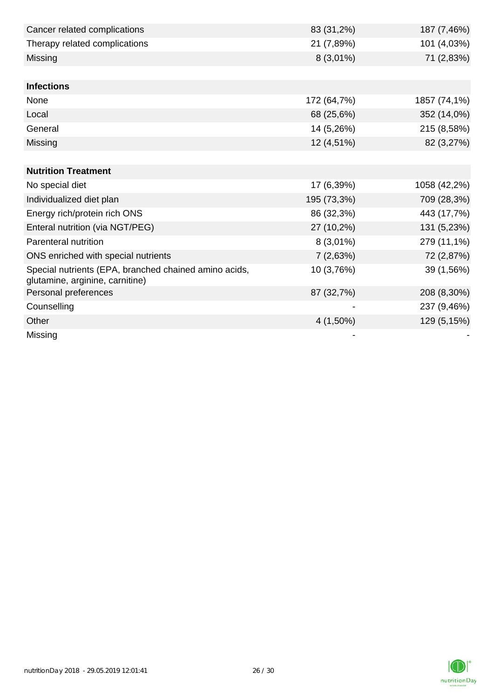| Cancer related complications                                                             | 83 (31,2%)  | 187 (7,46%)  |
|------------------------------------------------------------------------------------------|-------------|--------------|
| Therapy related complications                                                            | 21 (7,89%)  | 101 (4,03%)  |
| Missing                                                                                  | $8(3,01\%)$ | 71 (2,83%)   |
|                                                                                          |             |              |
| <b>Infections</b>                                                                        |             |              |
| None                                                                                     | 172 (64,7%) | 1857 (74,1%) |
| Local                                                                                    | 68 (25,6%)  | 352 (14,0%)  |
| General                                                                                  | 14 (5,26%)  | 215 (8,58%)  |
| Missing                                                                                  | 12 (4,51%)  | 82 (3,27%)   |
|                                                                                          |             |              |
| <b>Nutrition Treatment</b>                                                               |             |              |
| No special diet                                                                          | 17 (6,39%)  | 1058 (42,2%) |
| Individualized diet plan                                                                 | 195 (73,3%) | 709 (28,3%)  |
| Energy rich/protein rich ONS                                                             | 86 (32,3%)  | 443 (17,7%)  |
| Enteral nutrition (via NGT/PEG)                                                          | 27 (10,2%)  | 131 (5,23%)  |
| Parenteral nutrition                                                                     | $8(3,01\%)$ | 279 (11,1%)  |
| ONS enriched with special nutrients                                                      | 7(2,63%)    | 72 (2,87%)   |
| Special nutrients (EPA, branched chained amino acids,<br>glutamine, arginine, carnitine) | 10 (3,76%)  | 39 (1,56%)   |
| Personal preferences                                                                     | 87 (32,7%)  | 208 (8,30%)  |
| Counselling                                                                              |             | 237 (9,46%)  |
| Other                                                                                    | 4 (1,50%)   | 129 (5,15%)  |
| Missing                                                                                  |             |              |

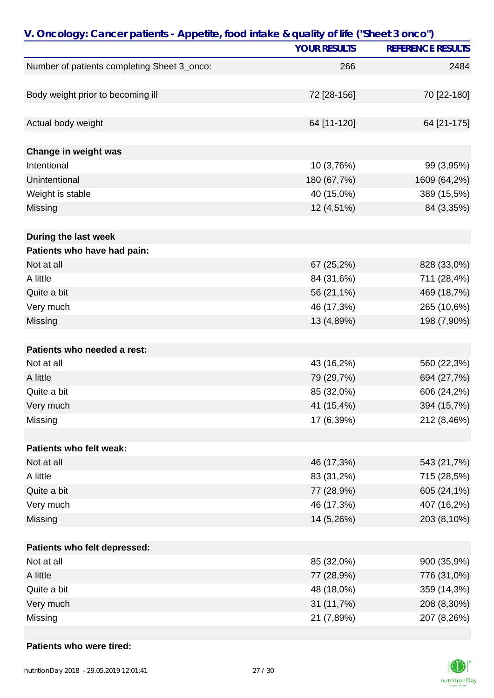|                                             | <b>YOUR RESULTS</b> | <b>REFERENCE RESULTS</b> |
|---------------------------------------------|---------------------|--------------------------|
| Number of patients completing Sheet 3_onco: | 266                 | 2484                     |
|                                             |                     |                          |
| Body weight prior to becoming ill           | 72 [28-156]         | 70 [22-180]              |
|                                             |                     |                          |
| Actual body weight                          | 64 [11-120]         | 64 [21-175]              |
|                                             |                     |                          |
| Change in weight was                        |                     |                          |
| Intentional                                 | 10 (3,76%)          | 99 (3,95%)               |
| Unintentional                               | 180 (67,7%)         | 1609 (64,2%)             |
| Weight is stable                            | 40 (15,0%)          | 389 (15,5%)              |
| Missing                                     | 12 (4,51%)          | 84 (3,35%)               |
| During the last week                        |                     |                          |
| Patients who have had pain:                 |                     |                          |
| Not at all                                  | 67 (25,2%)          | 828 (33,0%)              |
| A little                                    | 84 (31,6%)          | 711 (28,4%)              |
| Quite a bit                                 | 56 (21,1%)          | 469 (18,7%)              |
| Very much                                   | 46 (17,3%)          | 265 (10,6%)              |
| Missing                                     | 13 (4,89%)          | 198 (7,90%)              |
|                                             |                     |                          |
| Patients who needed a rest:                 |                     |                          |
| Not at all                                  | 43 (16,2%)          | 560 (22,3%)              |
| A little                                    | 79 (29,7%)          | 694 (27,7%)              |
| Quite a bit                                 | 85 (32,0%)          | 606 (24,2%)              |
| Very much                                   | 41 (15,4%)          | 394 (15,7%)              |
| Missing                                     | 17 (6,39%)          | 212 (8,46%)              |
|                                             |                     |                          |
| Patients who felt weak:                     |                     |                          |
| Not at all                                  | 46 (17,3%)          | 543 (21,7%)              |
| A little                                    | 83 (31,2%)          | 715 (28,5%)              |
| Quite a bit                                 | 77 (28,9%)          | 605 (24,1%)              |
| Very much                                   | 46 (17,3%)          | 407 (16,2%)              |
| Missing                                     | 14 (5,26%)          | 203 (8,10%)              |
|                                             |                     |                          |
| Patients who felt depressed:                |                     |                          |
| Not at all                                  | 85 (32,0%)          | 900 (35,9%)              |
| A little                                    | 77 (28,9%)          | 776 (31,0%)              |
| Quite a bit                                 | 48 (18,0%)          | 359 (14,3%)              |
| Very much                                   | 31 (11,7%)          | 208 (8,30%)              |
| Missing                                     | 21 (7,89%)          | 207 (8,26%)              |

#### **Patients who were tired:**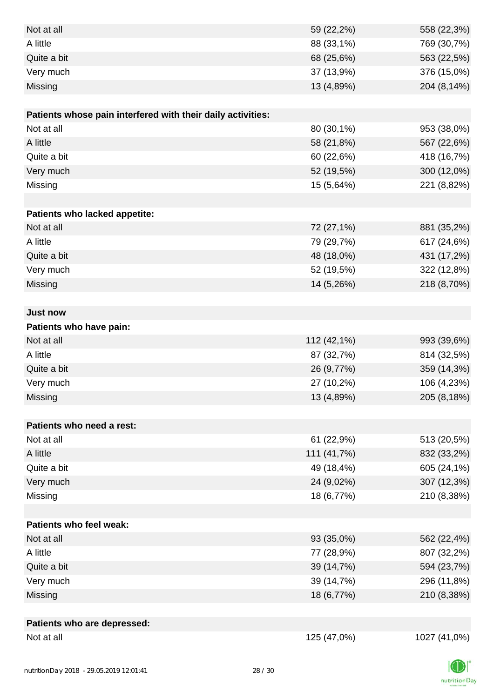| Not at all                                                  | 59 (22,2%)  | 558 (22,3%)  |
|-------------------------------------------------------------|-------------|--------------|
| A little                                                    | 88 (33,1%)  | 769 (30,7%)  |
| Quite a bit                                                 | 68 (25,6%)  | 563 (22,5%)  |
| Very much                                                   | 37 (13,9%)  | 376 (15,0%)  |
| Missing                                                     | 13 (4,89%)  | 204 (8,14%)  |
|                                                             |             |              |
| Patients whose pain interfered with their daily activities: |             |              |
| Not at all                                                  | 80 (30,1%)  | 953 (38,0%)  |
| A little                                                    | 58 (21,8%)  | 567 (22,6%)  |
| Quite a bit                                                 | 60 (22,6%)  | 418 (16,7%)  |
| Very much                                                   | 52 (19,5%)  | 300 (12,0%)  |
| Missing                                                     | 15 (5,64%)  | 221 (8,82%)  |
|                                                             |             |              |
| Patients who lacked appetite:                               |             |              |
| Not at all                                                  | 72 (27,1%)  | 881 (35,2%)  |
| A little                                                    | 79 (29,7%)  | 617 (24,6%)  |
| Quite a bit                                                 | 48 (18,0%)  | 431 (17,2%)  |
| Very much                                                   | 52 (19,5%)  | 322 (12,8%)  |
| Missing                                                     | 14 (5,26%)  | 218 (8,70%)  |
|                                                             |             |              |
| <b>Just now</b>                                             |             |              |
| Patients who have pain:                                     |             |              |
| Not at all                                                  | 112 (42,1%) | 993 (39,6%)  |
| A little                                                    | 87 (32,7%)  | 814 (32,5%)  |
| Quite a bit                                                 | 26 (9,77%)  | 359 (14,3%)  |
| Very much                                                   | 27 (10,2%)  | 106 (4,23%)  |
| Missing                                                     | 13 (4,89%)  | 205 (8,18%)  |
|                                                             |             |              |
| Patients who need a rest:                                   |             |              |
| Not at all                                                  | 61 (22,9%)  | 513 (20,5%)  |
| A little                                                    | 111 (41,7%) | 832 (33,2%)  |
| Quite a bit                                                 | 49 (18,4%)  | 605 (24,1%)  |
| Very much                                                   | 24 (9,02%)  | 307 (12,3%)  |
| Missing                                                     | 18 (6,77%)  | 210 (8,38%)  |
|                                                             |             |              |
| Patients who feel weak:                                     |             |              |
| Not at all                                                  | 93 (35,0%)  | 562 (22,4%)  |
| A little                                                    | 77 (28,9%)  | 807 (32,2%)  |
| Quite a bit                                                 | 39 (14,7%)  | 594 (23,7%)  |
| Very much                                                   | 39 (14,7%)  | 296 (11,8%)  |
| Missing                                                     | 18 (6,77%)  | 210 (8,38%)  |
|                                                             |             |              |
| Patients who are depressed:                                 |             |              |
| Not at all                                                  | 125 (47,0%) | 1027 (41,0%) |

nutritionDay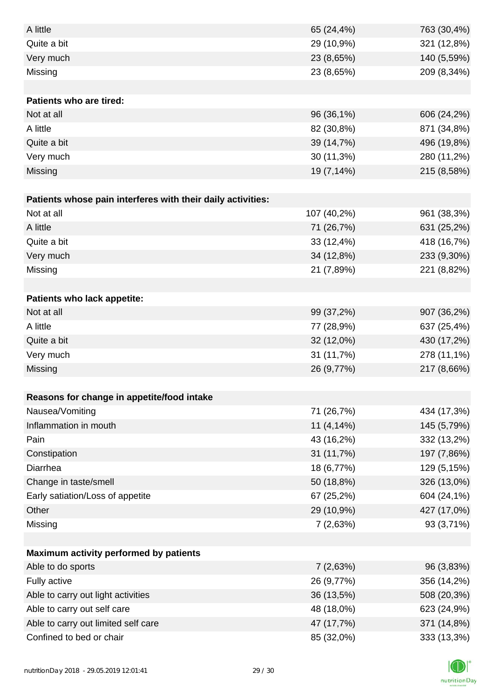| A little                                                    | 65 (24,4%)  | 763 (30,4%) |
|-------------------------------------------------------------|-------------|-------------|
| Quite a bit                                                 | 29 (10,9%)  | 321 (12,8%) |
| Very much                                                   | 23 (8,65%)  | 140 (5,59%) |
| Missing                                                     | 23 (8,65%)  | 209 (8,34%) |
|                                                             |             |             |
| Patients who are tired:                                     |             |             |
| Not at all                                                  | 96 (36,1%)  | 606 (24,2%) |
| A little                                                    | 82 (30,8%)  | 871 (34,8%) |
| Quite a bit                                                 | 39 (14,7%)  | 496 (19,8%) |
| Very much                                                   | 30 (11,3%)  | 280 (11,2%) |
| Missing                                                     | 19 (7,14%)  | 215 (8,58%) |
|                                                             |             |             |
| Patients whose pain interferes with their daily activities: |             |             |
| Not at all                                                  | 107 (40,2%) | 961 (38,3%) |
| A little                                                    | 71 (26,7%)  | 631 (25,2%) |
| Quite a bit                                                 | 33 (12,4%)  | 418 (16,7%) |
| Very much                                                   | 34 (12,8%)  | 233 (9,30%) |
| Missing                                                     | 21 (7,89%)  | 221 (8,82%) |
|                                                             |             |             |
| Patients who lack appetite:                                 |             |             |
| Not at all                                                  | 99 (37,2%)  | 907 (36,2%) |
| A little                                                    | 77 (28,9%)  | 637 (25,4%) |
| Quite a bit                                                 | 32 (12,0%)  | 430 (17,2%) |
| Very much                                                   | 31 (11,7%)  | 278 (11,1%) |
| Missing                                                     | 26 (9,77%)  | 217 (8,66%) |
|                                                             |             |             |
| Reasons for change in appetite/food intake                  |             |             |
| Nausea/Vomiting                                             | 71 (26,7%)  | 434 (17,3%) |
| Inflammation in mouth                                       | 11 (4,14%)  | 145 (5,79%) |
| Pain                                                        | 43 (16,2%)  | 332 (13,2%) |
| Constipation                                                | 31 (11,7%)  | 197 (7,86%) |
| Diarrhea                                                    | 18 (6,77%)  | 129 (5,15%) |
| Change in taste/smell                                       | 50 (18,8%)  | 326 (13,0%) |
| Early satiation/Loss of appetite                            | 67 (25,2%)  | 604 (24,1%) |
| Other                                                       | 29 (10,9%)  | 427 (17,0%) |
| Missing                                                     | 7(2,63%)    | 93 (3,71%)  |
|                                                             |             |             |
| Maximum activity performed by patients                      |             |             |
| Able to do sports                                           | 7(2,63%)    | 96 (3,83%)  |
| Fully active                                                | 26 (9,77%)  | 356 (14,2%) |
| Able to carry out light activities                          | 36 (13,5%)  | 508 (20,3%) |
| Able to carry out self care                                 | 48 (18,0%)  | 623 (24,9%) |
| Able to carry out limited self care                         | 47 (17,7%)  | 371 (14,8%) |
| Confined to bed or chair                                    | 85 (32,0%)  | 333 (13,3%) |